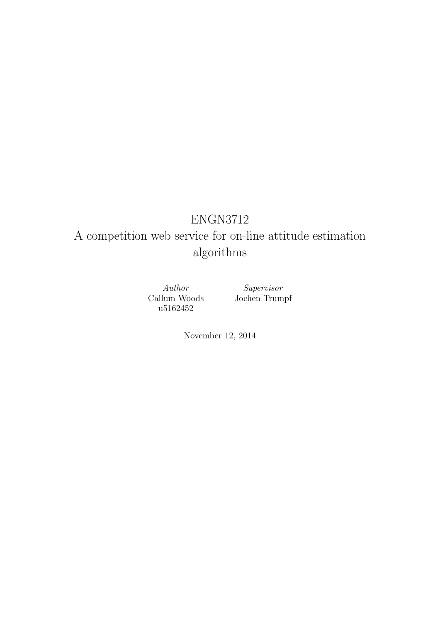# ENGN3712

# A competition web service for on-line attitude estimation algorithms

Author Callum Woods u5162452

Supervisor Jochen Trumpf

November 12, 2014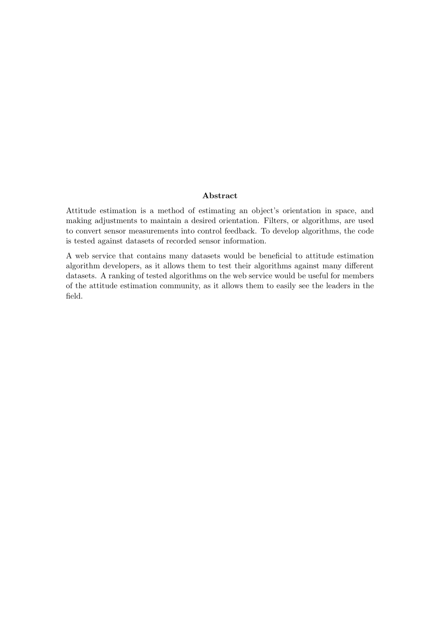#### Abstract

Attitude estimation is a method of estimating an object's orientation in space, and making adjustments to maintain a desired orientation. Filters, or algorithms, are used to convert sensor measurements into control feedback. To develop algorithms, the code is tested against datasets of recorded sensor information.

A web service that contains many datasets would be beneficial to attitude estimation algorithm developers, as it allows them to test their algorithms against many different datasets. A ranking of tested algorithms on the web service would be useful for members of the attitude estimation community, as it allows them to easily see the leaders in the field.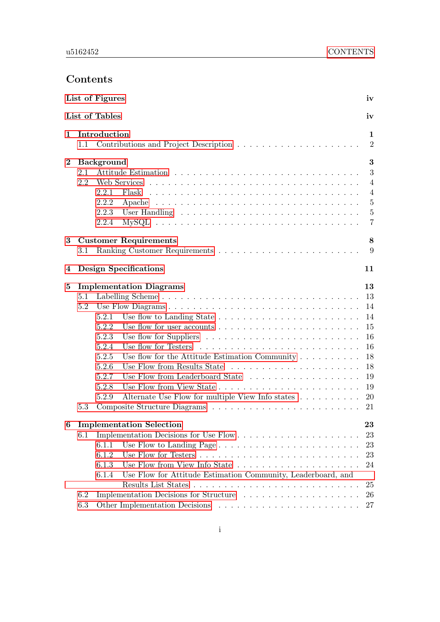## <span id="page-2-0"></span>Contents

|              |         | List of Figures       |                                                                                      | iv                             |
|--------------|---------|-----------------------|--------------------------------------------------------------------------------------|--------------------------------|
|              |         | <b>List of Tables</b> |                                                                                      | iv                             |
| $\mathbf{1}$ | 1.1     | Introduction          |                                                                                      | $\mathbf{1}$<br>$\overline{2}$ |
| $\bf{2}$     |         | <b>Background</b>     |                                                                                      | 3                              |
|              | 2.1     |                       |                                                                                      | 3                              |
|              | 2.2     |                       |                                                                                      | 4                              |
|              |         | 2.2.1                 | Flask                                                                                | $\overline{4}$                 |
|              |         | 2.2.2                 |                                                                                      | $\overline{5}$                 |
|              |         | 2.2.3                 |                                                                                      | $\overline{5}$                 |
|              |         | 2.2.4                 | $MySQL \ldots \ldots \ldots \ldots \ldots \ldots \ldots \ldots \ldots \ldots \ldots$ | 7                              |
| 3            |         |                       | <b>Customer Requirements</b>                                                         | 8                              |
|              | 3.1     |                       |                                                                                      | 9                              |
| 4            |         |                       | <b>Design Specifications</b>                                                         | 11                             |
| 5            |         |                       | <b>Implementation Diagrams</b>                                                       | 13                             |
|              | 5.1     |                       |                                                                                      | 13                             |
|              | 5.2     |                       |                                                                                      | 14                             |
|              |         | 5.2.1                 |                                                                                      | 14                             |
|              |         | 5.2.2                 | Use flow for user accounts $\dots \dots \dots \dots \dots \dots \dots$               | 15                             |
|              |         | 5.2.3                 | Use flow for Suppliers $\dots \dots \dots \dots \dots \dots \dots \dots \dots$       | 16                             |
|              |         | 5.2.4                 |                                                                                      | 16                             |
|              |         | 5.2.5                 | Use flow for the Attitude Estimation Community $\dots \dots \dots$                   | 18                             |
|              |         | 5.2.6                 |                                                                                      | 18                             |
|              |         | 5.2.7                 |                                                                                      | 19                             |
|              |         | 5.2.8                 |                                                                                      | 19                             |
|              |         | 5.2.9                 | Alternate Use Flow for multiple View Info states                                     | 20                             |
|              | 5.3     |                       |                                                                                      | 21                             |
|              |         |                       | 6 Implementation Selection                                                           | 23                             |
|              | $6.1\,$ |                       |                                                                                      | 23                             |
|              |         | 6.1.1                 |                                                                                      | 23                             |
|              |         | 6.1.2                 |                                                                                      | 23                             |
|              |         | 6.1.3                 |                                                                                      | 24                             |
|              |         | 6.1.4                 | Use Flow for Attitude Estimation Community, Leaderboard, and                         |                                |
|              |         |                       |                                                                                      | 25                             |
|              | 6.2     |                       | Implementation Decisions for Structure                                               | 26                             |
|              | 6.3     |                       |                                                                                      | 27                             |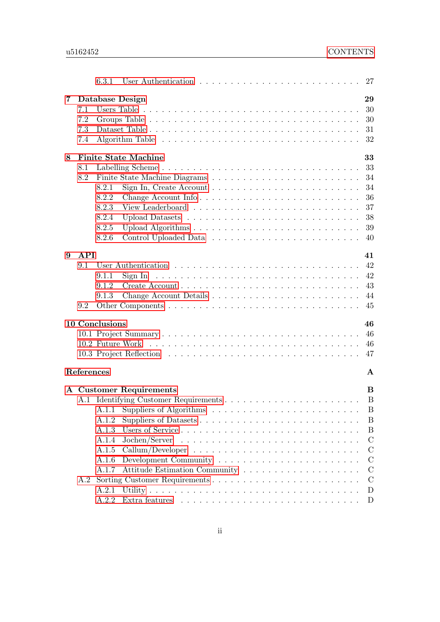|   |            | 6.3.1          |                                                                                         | 27            |
|---|------------|----------------|-----------------------------------------------------------------------------------------|---------------|
| 7 |            |                | Database Design                                                                         | 29            |
|   | 7.1        |                |                                                                                         | 30            |
|   | 7.2        |                |                                                                                         | 30            |
|   | 7.3        |                |                                                                                         | 31            |
|   | 7.4        |                |                                                                                         | 32            |
|   |            |                |                                                                                         |               |
| 8 |            |                | <b>Finite State Machine</b>                                                             | 33            |
|   | 8.1        |                |                                                                                         | 33            |
|   | 8.2        |                |                                                                                         | 34            |
|   |            | 8.2.1          | Sign In, Create Account $\dots \dots \dots \dots \dots \dots \dots \dots \dots$         | 34            |
|   |            | 8.2.2          |                                                                                         | 36            |
|   |            | 8.2.3          |                                                                                         | 37            |
|   |            | 8.2.4          |                                                                                         | 38            |
|   |            | 8.2.5          |                                                                                         | 39            |
|   |            | 8.2.6          |                                                                                         | 40            |
| 9 | API        |                |                                                                                         | 41            |
|   | 9.1        |                |                                                                                         | 42            |
|   |            | 9.1.1          | Sign In $\dots \dots \dots \dots \dots \dots \dots \dots \dots \dots \dots \dots \dots$ | 42            |
|   |            | 9.1.2          |                                                                                         | 43            |
|   |            | 9.1.3          |                                                                                         | 44            |
|   | 9.2        |                |                                                                                         | 45            |
|   |            |                |                                                                                         |               |
|   |            | 10 Conclusions |                                                                                         | 46            |
|   |            |                |                                                                                         | 46            |
|   |            |                |                                                                                         | 46            |
|   |            |                |                                                                                         | 47            |
|   |            |                |                                                                                         |               |
|   | References |                |                                                                                         | A             |
|   |            |                | A Customer Requirements                                                                 | B             |
|   |            |                |                                                                                         | B             |
|   |            |                |                                                                                         | $\mathbf{B}$  |
|   |            | A.1.2          |                                                                                         | B             |
|   |            | A.1.3          |                                                                                         | B             |
|   |            | A.1.4          |                                                                                         | $\mathcal{C}$ |
|   |            | A.1.5          |                                                                                         | $\mathcal{C}$ |
|   |            | A.1.6          |                                                                                         | $\mathcal{C}$ |
|   |            | A.1.7          |                                                                                         | $\mathcal{C}$ |
|   | A.2        |                |                                                                                         | $\mathcal{C}$ |
|   |            | A.2.1          |                                                                                         | D             |
|   |            | A.2.2          |                                                                                         | D             |
|   |            |                |                                                                                         |               |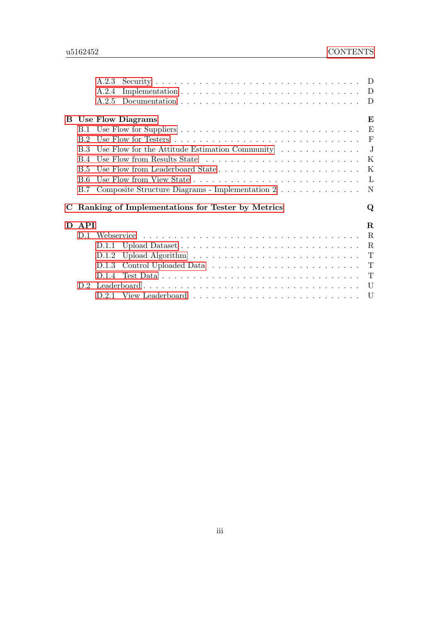|    |                | A.2.3                                                                        |                          |
|----|----------------|------------------------------------------------------------------------------|--------------------------|
|    |                | A.2.4                                                                        |                          |
|    |                | A.2.5                                                                        |                          |
|    |                |                                                                              |                          |
|    |                | <b>B</b> Use Flow Diagrams                                                   | Е                        |
|    |                |                                                                              |                          |
|    | B 2            |                                                                              |                          |
|    | B 3            | Use Flow for the Attitude Estimation Community $\ldots \ldots \ldots \ldots$ | $\overline{\phantom{a}}$ |
|    | B.4            |                                                                              |                          |
|    | B.5            |                                                                              |                          |
|    | B.6            |                                                                              | $\mathbf{L}$             |
|    | B.7            | Composite Structure Diagrams - Implementation $2 \ldots \ldots \ldots$       |                          |
| C  |                | Ranking of Implementations for Tester by Metrics                             | Q                        |
|    |                |                                                                              |                          |
| D. | <b>API</b>     |                                                                              | $\mathbf R$              |
|    | D <sub>1</sub> |                                                                              | $\mathbf R$              |
|    |                | D.1.1                                                                        | $\mathbf R$              |
|    |                | D.1.2                                                                        | T                        |
|    |                | D.1.3                                                                        | $\mathbf{T}$             |
|    |                | D.1.4                                                                        |                          |
|    |                |                                                                              | U                        |
|    |                |                                                                              |                          |
|    |                |                                                                              |                          |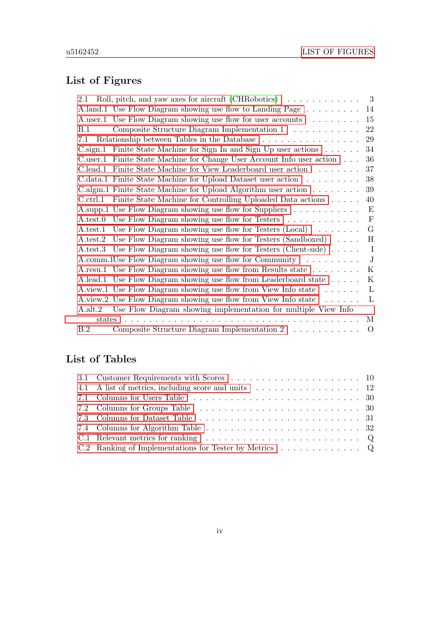## <span id="page-5-0"></span>List of Figures

| 2.1            | Roll, pitch, and yaw axes for aircraft (CHRobotics) $\ldots \ldots \ldots$       | $\overline{\phantom{a}3}$ |
|----------------|----------------------------------------------------------------------------------|---------------------------|
|                | A.land.1 Use Flow Diagram showing use flow to Landing Page                       | 14                        |
|                | A user 1 Use Flow Diagram showing use flow for user accounts                     | 15                        |
| B.1            | Composite Structure Diagram Implementation 1                                     | 22                        |
| 7.1            | Relationship between Tables in the Database                                      | 29                        |
|                | C.sign.1 Finite State Machine for Sign In and Sign Up user actions $\dots \dots$ | 34                        |
| $C.$ user. $1$ | Finite State Machine for Change User Account Info user action                    | 36                        |
|                | C.lead.1 Finite State Machine for View Leaderboard user action                   | 37                        |
|                | C.data.1 Finite State Machine for Upload Dataset user action                     | 38                        |
|                | C.algm.1 Finite State Machine for Upload Algorithm user action                   | 39                        |
| $C.$ ctrl.1    | Finite State Machine for Controlling Uploaded Data actions                       | 40                        |
|                | A.supp.1 Use Flow Diagram showing use flow for Suppliers                         | $\boldsymbol{\mathrm{E}}$ |
| A.test.0       | Use Flow Diagram showing use flow for Testers $\ldots \ldots \ldots \ldots$      | $\mathbf F$               |
| A.test.1       | Use Flow Diagram showing use flow for Testers $(Local) \dots \dots$              | $\mathbf G$               |
| A.test.2       | Use Flow Diagram showing use flow for Testers $(Sandboxed) \dots$ .              | H                         |
|                | A.test.3 Use Flow Diagram showing use flow for Testers (Client-side)             | $\mathbf I$               |
|                | A.comm. IUse Flow Diagram showing use flow for Community $\dots \dots$           | $\mathbf{J}$              |
|                | A.resu.1 Use Flow Diagram showing use flow from Results state                    | $\rm K$                   |
|                | A.lead.1 Use Flow Diagram showing use flow from Leaderboard state                | $\rm K$                   |
|                | A.view.1 Use Flow Diagram showing use flow from View Info state                  | L                         |
|                | A.view.2 Use Flow Diagram showing use flow from View Info state                  | L                         |
| A.alt.2        | Use Flow Diagram showing implementation for multiple View Info                   |                           |
| states         | and a state                                                                      | M                         |
| B.2            | Composite Structure Diagram Implementation $2 \dots \dots \dots$                 | $\Omega$                  |

## <span id="page-5-1"></span>List of Tables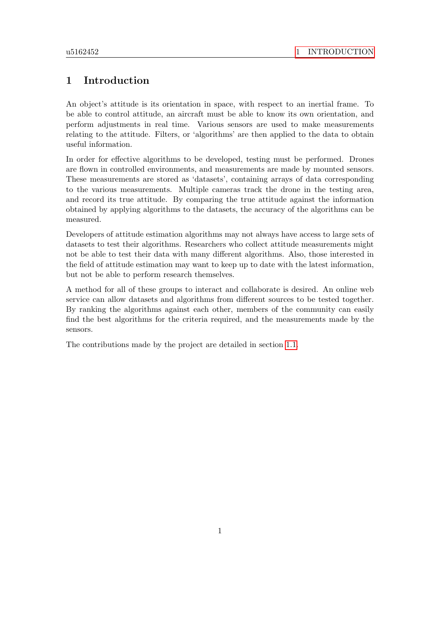## <span id="page-6-0"></span>1 Introduction

An object's attitude is its orientation in space, with respect to an inertial frame. To be able to control attitude, an aircraft must be able to know its own orientation, and perform adjustments in real time. Various sensors are used to make measurements relating to the attitude. Filters, or 'algorithms' are then applied to the data to obtain useful information.

In order for effective algorithms to be developed, testing must be performed. Drones are flown in controlled environments, and measurements are made by mounted sensors. These measurements are stored as 'datasets', containing arrays of data corresponding to the various measurements. Multiple cameras track the drone in the testing area, and record its true attitude. By comparing the true attitude against the information obtained by applying algorithms to the datasets, the accuracy of the algorithms can be measured.

Developers of attitude estimation algorithms may not always have access to large sets of datasets to test their algorithms. Researchers who collect attitude measurements might not be able to test their data with many different algorithms. Also, those interested in the field of attitude estimation may want to keep up to date with the latest information, but not be able to perform research themselves.

A method for all of these groups to interact and collaborate is desired. An online web service can allow datasets and algorithms from different sources to be tested together. By ranking the algorithms against each other, members of the community can easily find the best algorithms for the criteria required, and the measurements made by the sensors.

The contributions made by the project are detailed in section [1.1.](#page-7-0)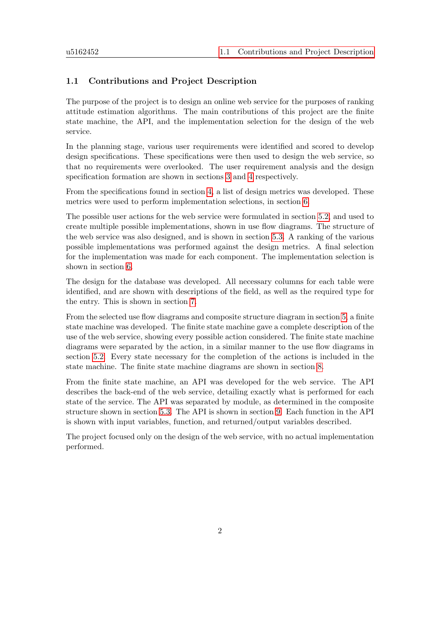### <span id="page-7-0"></span>1.1 Contributions and Project Description

The purpose of the project is to design an online web service for the purposes of ranking attitude estimation algorithms. The main contributions of this project are the finite state machine, the API, and the implementation selection for the design of the web service.

In the planning stage, various user requirements were identified and scored to develop design specifications. These specifications were then used to design the web service, so that no requirements were overlooked. The user requirement analysis and the design specification formation are shown in sections [3](#page-13-0) and [4](#page-16-0) respectively.

From the specifications found in section [4,](#page-16-0) a list of design metrics was developed. These metrics were used to perform implementation selections, in section [6.](#page-28-0)

The possible user actions for the web service were formulated in section [5.2,](#page-19-0) and used to create multiple possible implementations, shown in use flow diagrams. The structure of the web service was also designed, and is shown in section [5.3.](#page-26-0) A ranking of the various possible implementations was performed against the design metrics. A final selection for the implementation was made for each component. The implementation selection is shown in section [6.](#page-28-0)

The design for the database was developed. All necessary columns for each table were identified, and are shown with descriptions of the field, as well as the required type for the entry. This is shown in section [7.](#page-34-0)

From the selected use flow diagrams and composite structure diagram in section [5,](#page-18-0) a finite state machine was developed. The finite state machine gave a complete description of the use of the web service, showing every possible action considered. The finite state machine diagrams were separated by the action, in a similar manner to the use flow diagrams in section [5.2.](#page-19-0) Every state necessary for the completion of the actions is included in the state machine. The finite state machine diagrams are shown in section [8.](#page-38-0)

From the finite state machine, an API was developed for the web service. The API describes the back-end of the web service, detailing exactly what is performed for each state of the service. The API was separated by module, as determined in the composite structure shown in section [5.3.](#page-26-0) The API is shown in section [9.](#page-46-0) Each function in the API is shown with input variables, function, and returned/output variables described.

The project focused only on the design of the web service, with no actual implementation performed.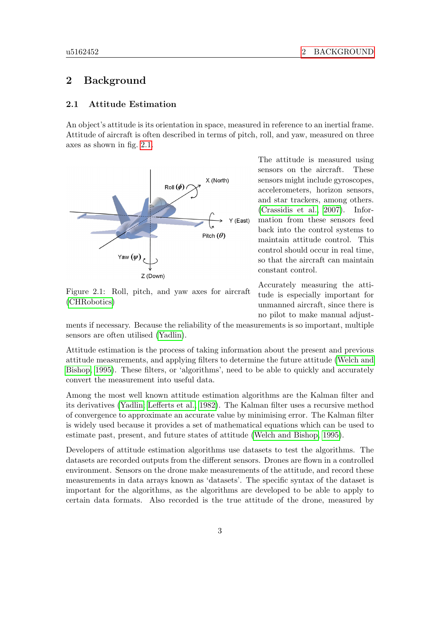## <span id="page-8-0"></span>2 Background

#### <span id="page-8-1"></span>2.1 Attitude Estimation

An object's attitude is its orientation in space, measured in reference to an inertial frame. Attitude of aircraft is often described in terms of pitch, roll, and yaw, measured on three axes as shown in fig. [2.1.](#page-8-2)

<span id="page-8-2"></span>

Figure 2.1: Roll, pitch, and yaw axes for aircraft [\(CHRobotics\)](#page-53-1)

The attitude is measured using sensors on the aircraft. These sensors might include gyroscopes, accelerometers, horizon sensors, and star trackers, among others. [\(Crassidis et al., 2007\)](#page-53-2). Information from these sensors feed back into the control systems to maintain attitude control. This control should occur in real time, so that the aircraft can maintain constant control.

Accurately measuring the attitude is especially important for unmanned aircraft, since there is no pilot to make manual adjust-

ments if necessary. Because the reliability of the measurements is so important, multiple sensors are often utilised [\(Yadlin\)](#page-53-3).

Attitude estimation is the process of taking information about the present and previous attitude measurements, and applying filters to determine the future attitude [\(Welch and](#page-53-4) [Bishop, 1995\)](#page-53-4). These filters, or 'algorithms', need to be able to quickly and accurately convert the measurement into useful data.

Among the most well known attitude estimation algorithms are the Kalman filter and its derivatives [\(Yadlin;](#page-53-3) [Lefferts et al., 1982\)](#page-53-5). The Kalman filter uses a recursive method of convergence to approximate an accurate value by minimising error. The Kalman filter is widely used because it provides a set of mathematical equations which can be used to estimate past, present, and future states of attitude [\(Welch and Bishop, 1995\)](#page-53-4).

Developers of attitude estimation algorithms use datasets to test the algorithms. The datasets are recorded outputs from the different sensors. Drones are flown in a controlled environment. Sensors on the drone make measurements of the attitude, and record these measurements in data arrays known as 'datasets'. The specific syntax of the dataset is important for the algorithms, as the algorithms are developed to be able to apply to certain data formats. Also recorded is the true attitude of the drone, measured by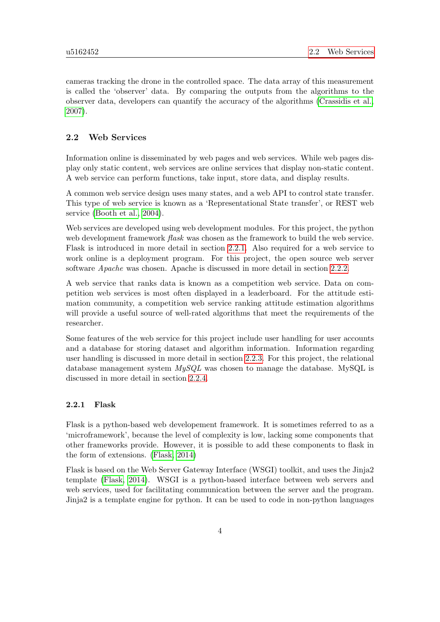cameras tracking the drone in the controlled space. The data array of this measurement is called the 'observer' data. By comparing the outputs from the algorithms to the observer data, developers can quantify the accuracy of the algorithms [\(Crassidis et al.,](#page-53-2) [2007\)](#page-53-2).

#### <span id="page-9-0"></span>2.2 Web Services

Information online is disseminated by web pages and web services. While web pages display only static content, web services are online services that display non-static content. A web service can perform functions, take input, store data, and display results.

A common web service design uses many states, and a web API to control state transfer. This type of web service is known as a 'Representational State transfer', or REST web service [\(Booth et al., 2004\)](#page-53-6).

Web services are developed using web development modules. For this project, the python web development framework *flask* was chosen as the framework to build the web service. Flask is introduced in more detail in section [2.2.1.](#page-9-1) Also required for a web service to work online is a deployment program. For this project, the open source web server software Apache was chosen. Apache is discussed in more detail in section [2.2.2.](#page-10-0)

A web service that ranks data is known as a competition web service. Data on competition web services is most often displayed in a leaderboard. For the attitude estimation community, a competition web service ranking attitude estimation algorithms will provide a useful source of well-rated algorithms that meet the requirements of the researcher.

Some features of the web service for this project include user handling for user accounts and a database for storing dataset and algorithm information. Information regarding user handling is discussed in more detail in section [2.2.3.](#page-10-1) For this project, the relational database management system  $MUSQL$  was chosen to manage the database. MySQL is discussed in more detail in section [2.2.4.](#page-12-0)

#### <span id="page-9-1"></span>2.2.1 Flask

Flask is a python-based web developement framework. It is sometimes referred to as a 'microframework', because the level of complexity is low, lacking some components that other frameworks provide. However, it is possible to add these components to flask in the form of extensions. [\(Flask, 2014\)](#page-53-7)

Flask is based on the Web Server Gateway Interface (WSGI) toolkit, and uses the Jinja2 template [\(Flask, 2014\)](#page-53-7). WSGI is a python-based interface between web servers and web services, used for facilitating communication between the server and the program. Jinja2 is a template engine for python. It can be used to code in non-python languages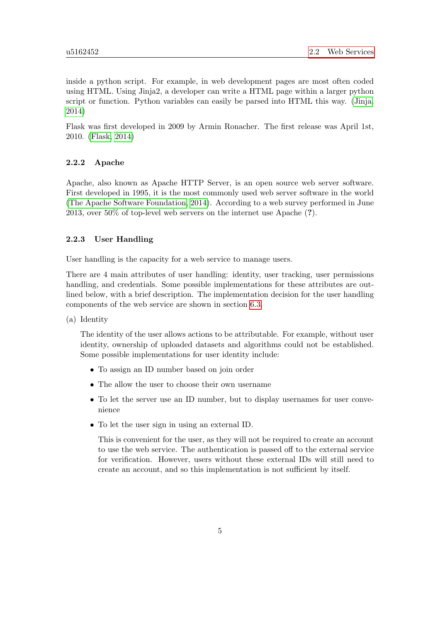inside a python script. For example, in web development pages are most often coded using HTML. Using Jinja2, a developer can write a HTML page within a larger python script or function. Python variables can easily be parsed into HTML this way. [\(Jinja,](#page-53-8) [2014\)](#page-53-8)

Flask was first developed in 2009 by Armin Ronacher. The first release was April 1st, 2010. [\(Flask, 2014\)](#page-53-7)

#### <span id="page-10-0"></span>2.2.2 Apache

Apache, also known as Apache HTTP Server, is an open source web server software. First developed in 1995, it is the most commonly used web server software in the world [\(The Apache Software Foundation, 2014\)](#page-53-9). According to a web survey performed in June 2013, over 50% of top-level web servers on the internet use Apache (?).

#### <span id="page-10-1"></span>2.2.3 User Handling

User handling is the capacity for a web service to manage users.

There are 4 main attributes of user handling: identity, user tracking, user permissions handling, and credentials. Some possible implementations for these attributes are outlined below, with a brief description. The implementation decision for the user handling components of the web service are shown in section [6.3.](#page-32-0)

(a) Identity

The identity of the user allows actions to be attributable. For example, without user identity, ownership of uploaded datasets and algorithms could not be established. Some possible implementations for user identity include:

- To assign an ID number based on join order
- The allow the user to choose their own username
- To let the server use an ID number, but to display usernames for user convenience
- To let the user sign in using an external ID.

This is convenient for the user, as they will not be required to create an account to use the web service. The authentication is passed off to the external service for verification. However, users without these external IDs will still need to create an account, and so this implementation is not sufficient by itself.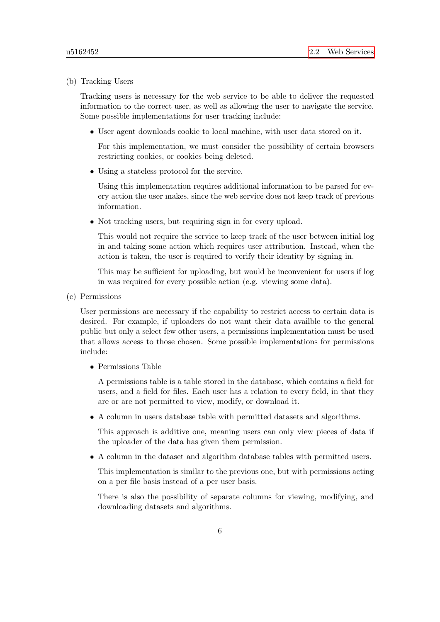(b) Tracking Users

Tracking users is necessary for the web service to be able to deliver the requested information to the correct user, as well as allowing the user to navigate the service. Some possible implementations for user tracking include:

• User agent downloads cookie to local machine, with user data stored on it.

For this implementation, we must consider the possibility of certain browsers restricting cookies, or cookies being deleted.

• Using a stateless protocol for the service.

Using this implementation requires additional information to be parsed for every action the user makes, since the web service does not keep track of previous information.

• Not tracking users, but requiring sign in for every upload.

This would not require the service to keep track of the user between initial log in and taking some action which requires user attribution. Instead, when the action is taken, the user is required to verify their identity by signing in.

This may be sufficient for uploading, but would be inconvenient for users if log in was required for every possible action (e.g. viewing some data).

(c) Permissions

User permissions are necessary if the capability to restrict access to certain data is desired. For example, if uploaders do not want their data availble to the general public but only a select few other users, a permissions implementation must be used that allows access to those chosen. Some possible implementations for permissions include:

• Permissions Table

A permissions table is a table stored in the database, which contains a field for users, and a field for files. Each user has a relation to every field, in that they are or are not permitted to view, modify, or download it.

• A column in users database table with permitted datasets and algorithms.

This approach is additive one, meaning users can only view pieces of data if the uploader of the data has given them permission.

• A column in the dataset and algorithm database tables with permitted users.

This implementation is similar to the previous one, but with permissions acting on a per file basis instead of a per user basis.

There is also the possibility of separate columns for viewing, modifying, and downloading datasets and algorithms.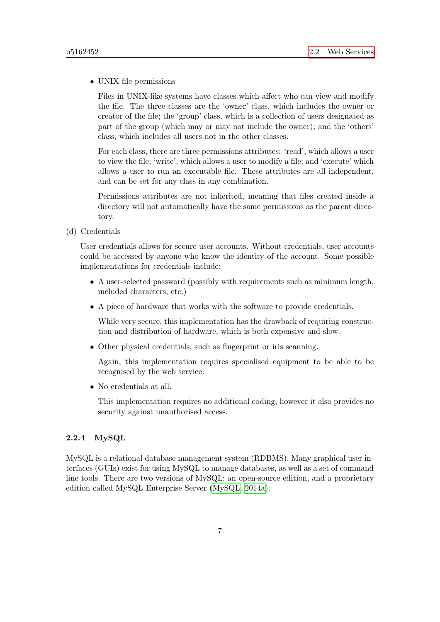#### • UNIX file permissions

Files in UNIX-like systems have classes which affect who can view and modify the file. The three classes are the 'owner' class, which includes the owner or creator of the file; the 'group' class, which is a collection of users designated as part of the group (which may or may not include the owner); and the 'others' class, which includes all users not in the other classes.

For each class, there are three permissions attributes: 'read', which allows a user to view the file; 'write', which allows a user to modify a file; and 'execute' which allows a user to run an executable file. These attributes are all independent, and can be set for any class in any combination.

Permissions attributes are not inherited, meaning that files created inside a directory will not automatically have the same permissions as the parent directory.

(d) Credentials

User credentials allows for secure user accounts. Without credentials, user accounts could be accessed by anyone who know the identity of the account. Some possible implementations for credentials include:

- A user-selected password (possibly with requirements such as minimum length, included characters, etc.)
- A piece of hardware that works with the software to provide credentials.

While very secure, this implementation has the drawback of requiring construction and distribution of hardware, which is both expensive and slow.

• Other physical credentials, such as fingerprint or iris scanning.

Again, this implementation requires specialised equipment to be able to be recognised by the web service.

• No credentials at all.

This implementation requires no additional coding, however it also provides no security against unauthorised access.

#### <span id="page-12-0"></span>2.2.4 MySQL

MySQL is a relational database management system (RDBMS). Many graphical user interfaces (GUIs) exist for using MySQL to manage databases, as well as a set of command line tools. There are two versions of MySQL: an open-source edition, and a proprietary edition called MySQL Enterprise Server [\(MySQL, 2014a\)](#page-53-10).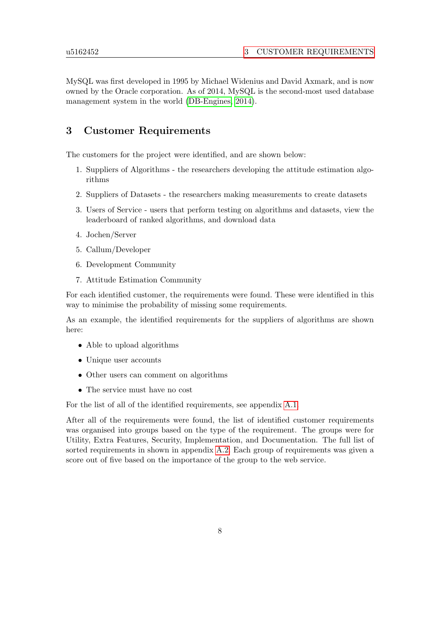MySQL was first developed in 1995 by Michael Widenius and David Axmark, and is now owned by the Oracle corporation. As of 2014, MySQL is the second-most used database management system in the world [\(DB-Engines, 2014\)](#page-53-11).

## <span id="page-13-0"></span>3 Customer Requirements

The customers for the project were identified, and are shown below:

- 1. Suppliers of Algorithms the researchers developing the attitude estimation algorithms
- 2. Suppliers of Datasets the researchers making measurements to create datasets
- 3. Users of Service users that perform testing on algorithms and datasets, view the leaderboard of ranked algorithms, and download data
- 4. Jochen/Server
- 5. Callum/Developer
- 6. Development Community
- 7. Attitude Estimation Community

For each identified customer, the requirements were found. These were identified in this way to minimise the probability of missing some requirements.

As an example, the identified requirements for the suppliers of algorithms are shown here:

- Able to upload algorithms
- Unique user accounts
- Other users can comment on algorithms
- The service must have no cost

For the list of all of the identified requirements, see appendix [A.1.](#page-54-1)

After all of the requirements were found, the list of identified customer requirements was organised into groups based on the type of the requirement. The groups were for Utility, Extra Features, Security, Implementation, and Documentation. The full list of sorted requirements in shown in appendix [A.2.](#page-55-4) Each group of requirements was given a score out of five based on the importance of the group to the web service.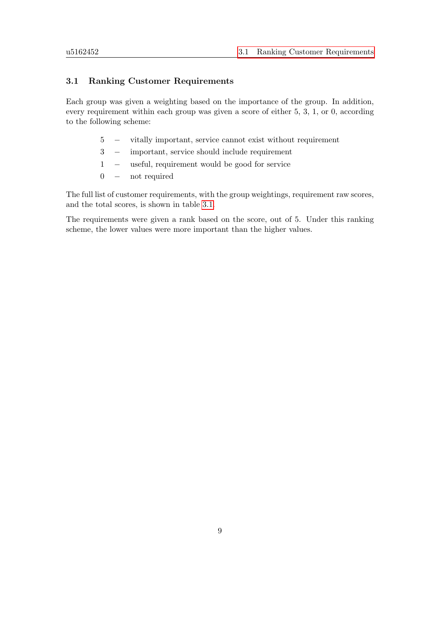#### <span id="page-14-0"></span>3.1 Ranking Customer Requirements

Each group was given a weighting based on the importance of the group. In addition, every requirement within each group was given a score of either 5, 3, 1, or 0, according to the following scheme:

- 5 − vitally important, service cannot exist without requirement
- 3 − important, service should include requirement
- 1 − useful, requirement would be good for service
- 0 − not required

The full list of customer requirements, with the group weightings, requirement raw scores, and the total scores, is shown in table [3.1.](#page-15-0)

The requirements were given a rank based on the score, out of 5. Under this ranking scheme, the lower values were more important than the higher values.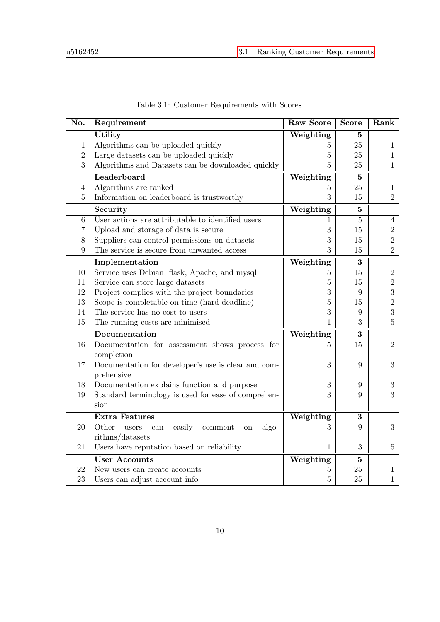<span id="page-15-0"></span>

| No.            | Requirement                                               | <b>Raw Score</b>              | <b>Score</b>   | Rank           |
|----------------|-----------------------------------------------------------|-------------------------------|----------------|----------------|
|                | Utility                                                   | Weighting                     | 5              |                |
| $\mathbf{1}$   | Algorithms can be uploaded quickly                        | 5                             | 25             | $\mathbf{1}$   |
| $\overline{2}$ | Large datasets can be uploaded quickly                    | 5                             | 25             | $\mathbf{1}$   |
| 3              | Algorithms and Datasets can be downloaded quickly         | 5                             | 25             | $\mathbf{1}$   |
|                | Leaderboard                                               | Weighting                     | $\mathbf{5}$   |                |
| 4              | Algorithms are ranked                                     | $\overline{5}$                | 25             | $\mathbf{1}$   |
| $\overline{5}$ | Information on leaderboard is trustworthy                 | 3                             | 15             | $\overline{2}$ |
|                | Security                                                  | Weighting                     | $\overline{5}$ |                |
| $\,6\,$        | User actions are attributable to identified users         | 1                             | $\overline{5}$ | $\overline{4}$ |
| 7              | Upload and storage of data is secure                      | 3                             | 15             | $\sqrt{2}$     |
| 8              | Suppliers can control permissions on datasets             | 3                             | 15             | $\overline{2}$ |
| 9              | The service is secure from unwanted access                | 3                             | 15             | $\overline{2}$ |
|                | Implementation                                            | Weighting                     | 3              |                |
| 10             | Service uses Debian, flask, Apache, and mysql             | $\overline{5}$                | 15             | $\overline{2}$ |
| 11             | Service can store large datasets                          | 5                             | 15             | $\sqrt{2}$     |
| 12             | Project complies with the project boundaries              | 3                             | 9              | 3              |
| 13             | Scope is completable on time (hard deadline)              | 5                             | 15             | $\overline{2}$ |
| 14             | The service has no cost to users                          | 3                             | 9              | 3              |
| 15             | The running costs are minimised                           | 1                             | 3              | $\bf 5$        |
|                | Documentation                                             | Weighting                     | 3              |                |
| 16             | Documentation for assessment shows process for            | 5                             | 15             | $\overline{2}$ |
|                | completion                                                |                               |                |                |
| 17             | Documentation for developer's use is clear and com-       | 3                             | 9              | 3              |
|                | prehensive                                                |                               |                |                |
| 18             | Documentation explains function and purpose               | 3                             | 9              | $\sqrt{3}$     |
| 19             | Standard terminology is used for ease of comprehen-       | 3                             | 9              | 3              |
|                | sion                                                      |                               |                |                |
|                | <b>Extra Features</b>                                     | Weighting                     | 3              |                |
| 20             | Other<br>easily<br>algo-<br>users<br>comment<br>can<br>on | 3                             | 9              | 3              |
|                | rithms/datasets                                           |                               |                |                |
| 21             | Users have reputation based on reliability                | 1                             | 3              | $\bf 5$        |
|                | <b>User Accounts</b>                                      | $\overline{\text{Weighting}}$ | $\overline{5}$ |                |
| 22             | New users can create accounts                             | 5                             | 25             | $\mathbf{1}$   |
| 23             | Users can adjust account info                             | $\overline{5}$                | 25             | $\mathbf{1}$   |

Table 3.1: Customer Requirements with Scores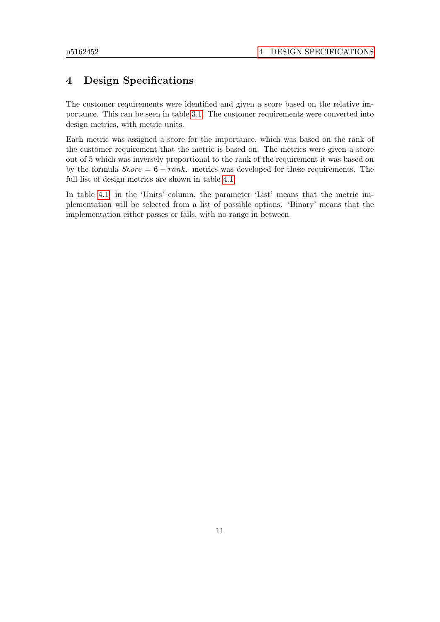## <span id="page-16-0"></span>4 Design Specifications

The customer requirements were identified and given a score based on the relative importance. This can be seen in table [3.1.](#page-15-0) The customer requirements were converted into design metrics, with metric units.

Each metric was assigned a score for the importance, which was based on the rank of the customer requirement that the metric is based on. The metrics were given a score out of 5 which was inversely proportional to the rank of the requirement it was based on by the formula  $Score = 6 - rank$ . metrics was developed for these requirements. The full list of design metrics are shown in table [4.1.](#page-17-0)

In table [4.1,](#page-17-0) in the 'Units' column, the parameter 'List' means that the metric implementation will be selected from a list of possible options. 'Binary' means that the implementation either passes or fails, with no range in between.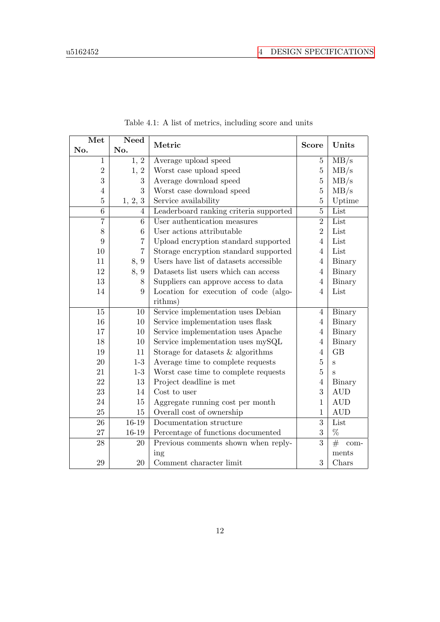<span id="page-17-0"></span>

| Met            | <b>Need</b>       | Metric                                 | <b>Score</b>     | Units                   |
|----------------|-------------------|----------------------------------------|------------------|-------------------------|
| No.            | No.               |                                        |                  |                         |
| $\mathbf{1}$   | $\overline{1, 2}$ | Average upload speed                   | $\overline{5}$   | MB/s                    |
| $\overline{2}$ | 1, 2              | Worst case upload speed                | $\overline{5}$   | MB/s                    |
| 3              | 3                 | Average download speed                 | $\overline{5}$   | MB/s                    |
| $\overline{4}$ | 3                 | Worst case download speed              | $\overline{5}$   | MB/s                    |
| $\overline{5}$ | 1, 2, 3           | Service availability                   | $\overline{5}$   | Uptime                  |
| 6              | 4                 | Leaderboard ranking criteria supported | $\overline{5}$   | List                    |
| $\overline{7}$ | 6                 | User authentication measures           | $\overline{2}$   | List                    |
| 8              | 6                 | User actions attributable              | $\overline{2}$   | List                    |
| 9              | 7                 | Upload encryption standard supported   | $\overline{4}$   | List                    |
| 10             | $\overline{7}$    | Storage encryption standard supported  | $\overline{4}$   | List                    |
| 11             | 8, 9              | Users have list of datasets accessible | $\overline{4}$   | Binary                  |
| 12             | 8, 9              | Datasets list users which can access   | 4                | Binary                  |
| 13             | 8                 | Suppliers can approve access to data   | $\overline{4}$   | Binary                  |
| 14             | 9                 | Location for execution of code (algo-  | $\overline{4}$   | List                    |
|                |                   | rithms)                                |                  |                         |
| 15             | 10                | Service implementation uses Debian     | $\overline{4}$   | Binary                  |
| 16             | 10                | Service implementation uses flask      | $\overline{4}$   | Binary                  |
| 17             | 10                | Service implementation uses Apache     | $\overline{4}$   | Binary                  |
| 18             | 10                | Service implementation uses mySQL      | $\overline{4}$   | Binary                  |
| 19             | 11                | Storage for datasets $&$ algorithms    | $\overline{4}$   | GB                      |
| 20             | $1-3$             | Average time to complete requests      | $\overline{5}$   | S                       |
| 21             | $1-3$             | Worst case time to complete requests   | $\overline{5}$   | S                       |
| 22             | 13                | Project deadline is met                | $\overline{4}$   | Binary                  |
| 23             | 14                | Cost to user                           | 3                | <b>AUD</b>              |
| 24             | 15                | Aggregate running cost per month       | $\mathbf{1}$     | <b>AUD</b>              |
| 25             | 15                | Overall cost of ownership              | $\mathbf{1}$     | <b>AUD</b>              |
| 26             | 16-19             | Documentation structure                | 3                | List                    |
| 27             | $16 - 19$         | Percentage of functions documented     | $\boldsymbol{3}$ | $\%$                    |
| 28             | 20                | Previous comments shown when reply-    | 3                | $\overline{\#}$<br>com- |
|                |                   | ing                                    |                  | ments                   |
| 29             | 20                | Comment character limit                | 3                | Chars                   |

Table 4.1: A list of metrics, including score and units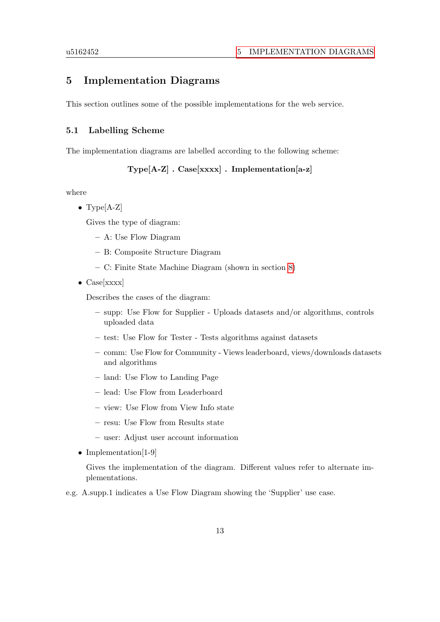## <span id="page-18-0"></span>5 Implementation Diagrams

This section outlines some of the possible implementations for the web service.

#### <span id="page-18-1"></span>5.1 Labelling Scheme

The implementation diagrams are labelled according to the following scheme:

Type[A-Z] . Case[xxxx] . Implementation[a-z]

where

• Type[A-Z]

Gives the type of diagram:

- A: Use Flow Diagram
- B: Composite Structure Diagram
- C: Finite State Machine Diagram (shown in section [8\)](#page-38-0)
- $Case[xxxx]$

Describes the cases of the diagram:

- supp: Use Flow for Supplier Uploads datasets and/or algorithms, controls uploaded data
- test: Use Flow for Tester Tests algorithms against datasets
- comm: Use Flow for Community Views leaderboard, views/downloads datasets and algorithms
- land: Use Flow to Landing Page
- lead: Use Flow from Leaderboard
- view: Use Flow from View Info state
- resu: Use Flow from Results state
- user: Adjust user account information
- Implementation[1-9]

Gives the implementation of the diagram. Different values refer to alternate implementations.

e.g. A.supp.1 indicates a Use Flow Diagram showing the 'Supplier' use case.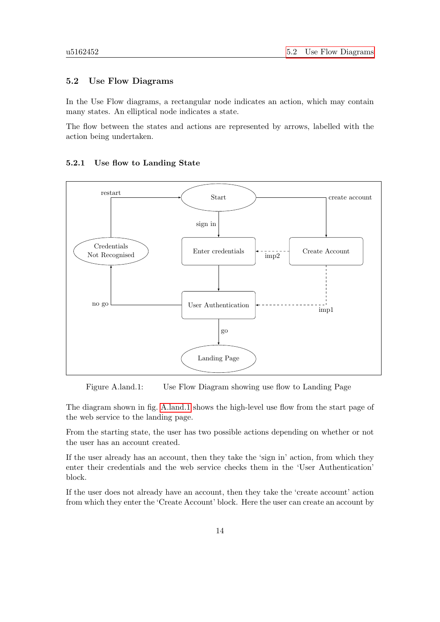#### <span id="page-19-0"></span>5.2 Use Flow Diagrams

In the Use Flow diagrams, a rectangular node indicates an action, which may contain many states. An elliptical node indicates a state.

The flow between the states and actions are represented by arrows, labelled with the action being undertaken.

<span id="page-19-2"></span>

#### <span id="page-19-1"></span>5.2.1 Use flow to Landing State

Figure A.land.1: Use Flow Diagram showing use flow to Landing Page

The diagram shown in fig. [A.land.1](#page-19-2) shows the high-level use flow from the start page of the web service to the landing page.

From the starting state, the user has two possible actions depending on whether or not the user has an account created.

If the user already has an account, then they take the 'sign in' action, from which they enter their credentials and the web service checks them in the 'User Authentication' block.

If the user does not already have an account, then they take the 'create account' action from which they enter the 'Create Account' block. Here the user can create an account by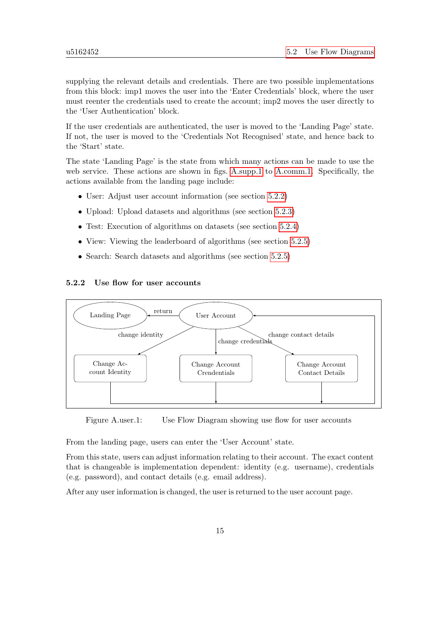supplying the relevant details and credentials. There are two possible implementations from this block: imp1 moves the user into the 'Enter Credentials' block, where the user must reenter the credentials used to create the account; imp2 moves the user directly to the 'User Authentication' block.

If the user credentials are authenticated, the user is moved to the 'Landing Page' state. If not, the user is moved to the 'Credentials Not Recognised' state, and hence back to the 'Start' state.

The state 'Landing Page' is the state from which many actions can be made to use the web service. These actions are shown in figs. [A.supp.1](#page-57-2) to [A.comm.1.](#page-62-1) Specifically, the actions available from the landing page include:

- User: Adjust user account information (see section [5.2.2\)](#page-20-0)
- Upload: Upload datasets and algorithms (see section [5.2.3\)](#page-21-0)
- Test: Execution of algorithms on datasets (see section [5.2.4\)](#page-21-1)
- View: Viewing the leaderboard of algorithms (see section [5.2.5\)](#page-23-0)
- Search: Search datasets and algorithms (see section [5.2.5\)](#page-23-0)

#### <span id="page-20-0"></span>5.2.2 Use flow for user accounts

<span id="page-20-1"></span>

Figure A.user.1: Use Flow Diagram showing use flow for user accounts

From the landing page, users can enter the 'User Account' state.

From this state, users can adjust information relating to their account. The exact content that is changeable is implementation dependent: identity (e.g. username), credentials (e.g. password), and contact details (e.g. email address).

After any user information is changed, the user is returned to the user account page.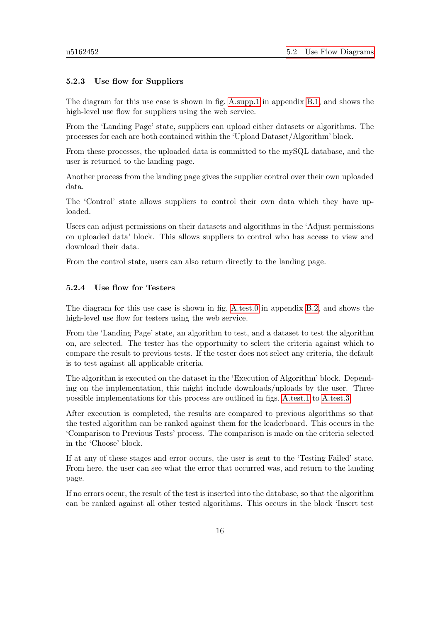#### <span id="page-21-0"></span>5.2.3 Use flow for Suppliers

The diagram for this use case is shown in fig. [A.supp.1](#page-57-2) in appendix [B.1,](#page-57-1) and shows the high-level use flow for suppliers using the web service.

From the 'Landing Page' state, suppliers can upload either datasets or algorithms. The processes for each are both contained within the 'Upload Dataset/Algorithm' block.

From these processes, the uploaded data is committed to the mySQL database, and the user is returned to the landing page.

Another process from the landing page gives the supplier control over their own uploaded data.

The 'Control' state allows suppliers to control their own data which they have uploaded.

Users can adjust permissions on their datasets and algorithms in the 'Adjust permissions on uploaded data' block. This allows suppliers to control who has access to view and download their data.

From the control state, users can also return directly to the landing page.

#### <span id="page-21-1"></span>5.2.4 Use flow for Testers

The diagram for this use case is shown in fig. [A.test.0](#page-58-1) in appendix [B.2,](#page-58-0) and shows the high-level use flow for testers using the web service.

From the 'Landing Page' state, an algorithm to test, and a dataset to test the algorithm on, are selected. The tester has the opportunity to select the criteria against which to compare the result to previous tests. If the tester does not select any criteria, the default is to test against all applicable criteria.

The algorithm is executed on the dataset in the 'Execution of Algorithm' block. Depending on the implementation, this might include downloads/uploads by the user. Three possible implementations for this process are outlined in figs. [A.test.1](#page-59-0) to [A.test.3.](#page-61-0)

After execution is completed, the results are compared to previous algorithms so that the tested algorithm can be ranked against them for the leaderboard. This occurs in the 'Comparison to Previous Tests' process. The comparison is made on the criteria selected in the 'Choose' block.

If at any of these stages and error occurs, the user is sent to the 'Testing Failed' state. From here, the user can see what the error that occurred was, and return to the landing page.

If no errors occur, the result of the test is inserted into the database, so that the algorithm can be ranked against all other tested algorithms. This occurs in the block 'Insert test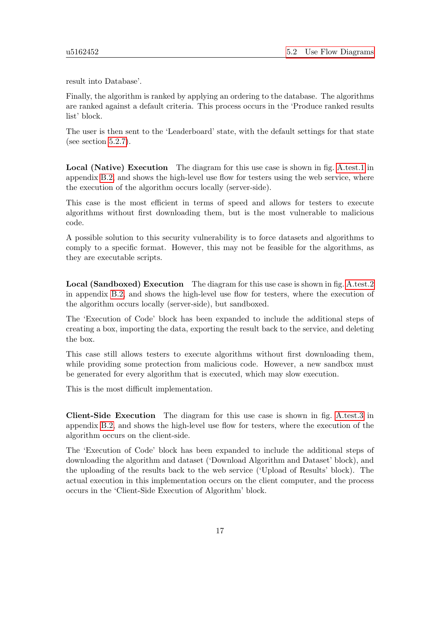result into Database'.

Finally, the algorithm is ranked by applying an ordering to the database. The algorithms are ranked against a default criteria. This process occurs in the 'Produce ranked results list' block.

The user is then sent to the 'Leaderboard' state, with the default settings for that state (see section [5.2.7\)](#page-24-0).

Local (Native) Execution The diagram for this use case is shown in fig. [A.test.1](#page-59-0) in appendix [B.2,](#page-58-0) and shows the high-level use flow for testers using the web service, where the execution of the algorithm occurs locally (server-side).

This case is the most efficient in terms of speed and allows for testers to execute algorithms without first downloading them, but is the most vulnerable to malicious code.

A possible solution to this security vulnerability is to force datasets and algorithms to comply to a specific format. However, this may not be feasible for the algorithms, as they are executable scripts.

Local (Sandboxed) Execution The diagram for this use case is shown in fig. [A.test.2](#page-60-0) in appendix [B.2,](#page-58-0) and shows the high-level use flow for testers, where the execution of the algorithm occurs locally (server-side), but sandboxed.

The 'Execution of Code' block has been expanded to include the additional steps of creating a box, importing the data, exporting the result back to the service, and deleting the box.

This case still allows testers to execute algorithms without first downloading them, while providing some protection from malicious code. However, a new sandbox must be generated for every algorithm that is executed, which may slow execution.

This is the most difficult implementation.

Client-Side Execution The diagram for this use case is shown in fig. [A.test.3](#page-61-0) in appendix [B.2,](#page-58-0) and shows the high-level use flow for testers, where the execution of the algorithm occurs on the client-side.

The 'Execution of Code' block has been expanded to include the additional steps of downloading the algorithm and dataset ('Download Algorithm and Dataset' block), and the uploading of the results back to the web service ('Upload of Results' block). The actual execution in this implementation occurs on the client computer, and the process occurs in the 'Client-Side Execution of Algorithm' block.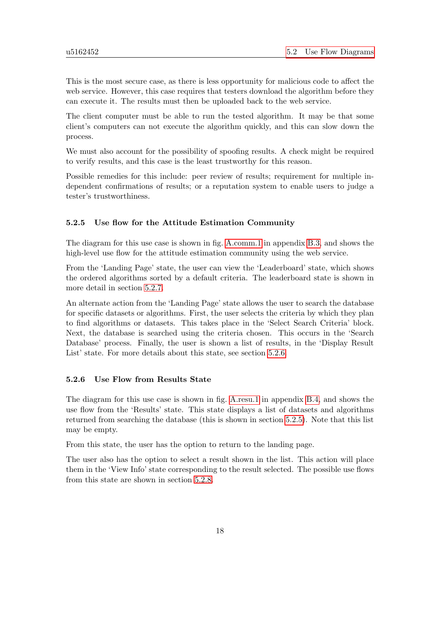This is the most secure case, as there is less opportunity for malicious code to affect the web service. However, this case requires that testers download the algorithm before they can execute it. The results must then be uploaded back to the web service.

The client computer must be able to run the tested algorithm. It may be that some client's computers can not execute the algorithm quickly, and this can slow down the process.

We must also account for the possibility of spoofing results. A check might be required to verify results, and this case is the least trustworthy for this reason.

Possible remedies for this include: peer review of results; requirement for multiple independent confirmations of results; or a reputation system to enable users to judge a tester's trustworthiness.

#### <span id="page-23-0"></span>5.2.5 Use flow for the Attitude Estimation Community

The diagram for this use case is shown in fig. [A.comm.1](#page-62-1) in appendix [B.3,](#page-62-0) and shows the high-level use flow for the attitude estimation community using the web service.

From the 'Landing Page' state, the user can view the 'Leaderboard' state, which shows the ordered algorithms sorted by a default criteria. The leaderboard state is shown in more detail in section [5.2.7.](#page-24-0)

An alternate action from the 'Landing Page' state allows the user to search the database for specific datasets or algorithms. First, the user selects the criteria by which they plan to find algorithms or datasets. This takes place in the 'Select Search Criteria' block. Next, the database is searched using the criteria chosen. This occurs in the 'Search Database' process. Finally, the user is shown a list of results, in the 'Display Result List' state. For more details about this state, see section [5.2.6.](#page-23-1)

#### <span id="page-23-1"></span>5.2.6 Use Flow from Results State

The diagram for this use case is shown in fig. [A.resu.1](#page-63-2) in appendix [B.4,](#page-63-0) and shows the use flow from the 'Results' state. This state displays a list of datasets and algorithms returned from searching the database (this is shown in section [5.2.5\)](#page-23-0). Note that this list may be empty.

From this state, the user has the option to return to the landing page.

The user also has the option to select a result shown in the list. This action will place them in the 'View Info' state corresponding to the result selected. The possible use flows from this state are shown in section [5.2.8.](#page-24-1)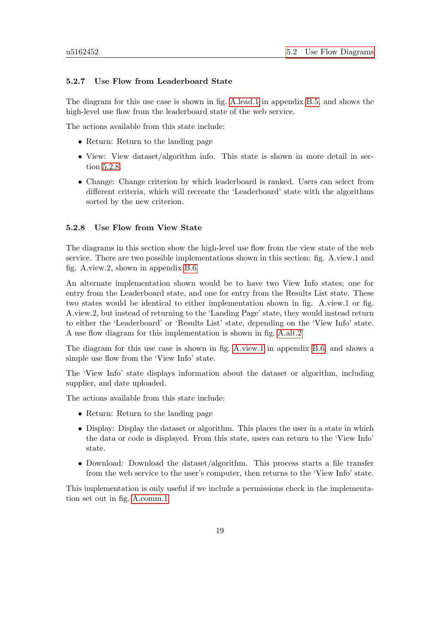#### <span id="page-24-0"></span>5.2.7 Use Flow from Leaderboard State

The diagram for this use case is shown in fig. [A.lead.1](#page-63-3) in appendix [B.5,](#page-63-1) and shows the high-level use flow from the leaderboard state of the web service.

The actions available from this state include:

- Return: Return to the landing page
- View: View dataset/algorithm info. This state is shown in more detail in section [5.2.8.](#page-24-1)
- Change: Change criterion by which leaderboard is ranked. Users can select from different criteria, which will recreate the 'Leaderboard' state with the algorithms sorted by the new criterion.

#### <span id="page-24-1"></span>5.2.8 Use Flow from View State

The diagrams in this section show the high-level use flow from the view state of the web service. There are two possible implementations shown in this section: fig. A.view.1 and fig. A.view.2, shown in appendix [B.6.](#page-64-0)

An alternate implementation shown would be to have two View Info states; one for entry from the Leaderboard state, and one for entry from the Results List state. These two states would be identical to either implementation shown in fig. A.view.1 or fig. A.view.2, but instead of returning to the 'Landing Page' state, they would instead return to either the 'Leaderboard' or 'Results List' state, depending on the 'View Info' state. A use flow diagram for this implementation is shown in fig. [A.alt.2](#page-65-0)

The diagram for this use case is shown in fig. [A.view.1](#page-64-1) in appendix [B.6,](#page-64-0) and shows a simple use flow from the 'View Info' state.

The 'View Info' state displays information about the dataset or algorithm, including supplier, and date uploaded.

The actions available from this state include:

- Return: Return to the landing page
- Display: Display the dataset or algorithm. This places the user in a state in which the data or code is displayed. From this state, users can return to the 'View Info' state.
- Download: Download the dataset/algorithm. This process starts a file transfer from the web service to the user's computer, then returns to the 'View Info' state.

This implementation is only useful if we include a permissions check in the implementation set out in fig. [A.comm.1.](#page-62-1)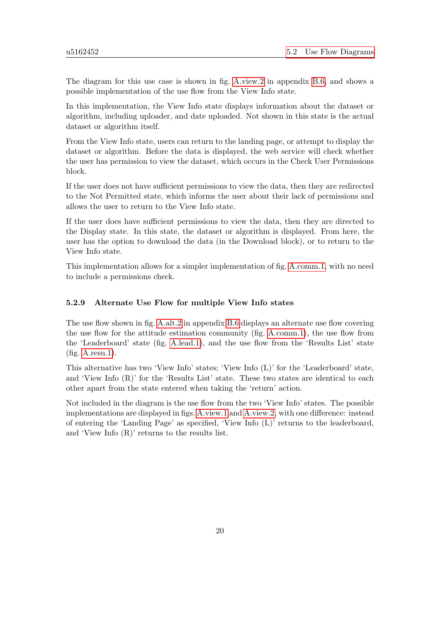The diagram for this use case is shown in fig. [A.view.2](#page-64-2) in appendix [B.6,](#page-64-0) and shows a possible implementation of the use flow from the View Info state.

In this implementation, the View Info state displays information about the dataset or algorithm, including uploader, and date uploaded. Not shown in this state is the actual dataset or algorithm itself.

From the View Info state, users can return to the landing page, or attempt to display the dataset or algorithm. Before the data is displayed, the web service will check whether the user has permission to view the dataset, which occurs in the Check User Permissions block.

If the user does not have sufficient permissions to view the data, then they are redirected to the Not Permitted state, which informs the user about their lack of permissions and allows the user to return to the View Info state.

If the user does have sufficient permissions to view the data, then they are directed to the Display state. In this state, the dataset or algorithm is displayed. From here, the user has the option to download the data (in the Download block), or to return to the View Info state.

This implementation allows for a simpler implementation of fig. [A.comm.1,](#page-62-1) with no need to include a permissions check.

#### <span id="page-25-0"></span>5.2.9 Alternate Use Flow for multiple View Info states

The use flow shown in fig. [A.alt.2](#page-65-0) in appendix [B.6](#page-64-0) displays an alternate use flow covering the use flow for the attitude estimation community (fig. [A.comm.1\)](#page-62-1), the use flow from the 'Leaderboard' state (fig. [A.lead.1\)](#page-63-3), and the use flow from the 'Results List' state (fig. [A.resu.1\)](#page-63-2).

This alternative has two 'View Info' states; 'View Info (L)' for the 'Leaderboard' state, and 'View Info (R)' for the 'Results List' state. These two states are identical to each other apart from the state entered when taking the 'return' action.

Not included in the diagram is the use flow from the two 'View Info' states. The possible implementations are displayed in figs. [A.view.1](#page-64-1) and [A.view.2,](#page-64-2) with one difference: instead of entering the 'Landing Page' as specified, 'View Info (L)' returns to the leaderboard, and 'View Info (R)' returns to the results list.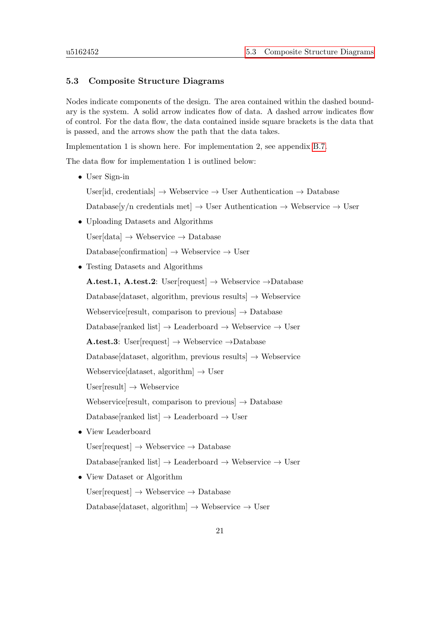#### <span id="page-26-0"></span>5.3 Composite Structure Diagrams

Nodes indicate components of the design. The area contained within the dashed boundary is the system. A solid arrow indicates flow of data. A dashed arrow indicates flow of control. For the data flow, the data contained inside square brackets is the data that is passed, and the arrows show the path that the data takes.

Implementation 1 is shown here. For implementation 2, see appendix [B.7.](#page-66-0)

The data flow for implementation 1 is outlined below:

• User Sign-in

User[id, credentials]  $\rightarrow$  Webservice  $\rightarrow$  User Authentication  $\rightarrow$  Database

Database[y/n credentials met]  $\rightarrow$  User Authentication  $\rightarrow$  Webservice  $\rightarrow$  User

• Uploading Datasets and Algorithms

User $[data] \rightarrow$  Webservice  $\rightarrow$  Database

 $\text{Database}[\text{confirmation}] \rightarrow \text{We}$ bservice  $\rightarrow \text{User}$ 

• Testing Datasets and Algorithms

A.test.1, A.test.2: User[request]  $\rightarrow$  Webservice  $\rightarrow$ Database Database[dataset, algorithm, previous results]  $\rightarrow$  Webservice Webservice[result, comparison to previous]  $\rightarrow$  Database Database[ranked list]  $\rightarrow$  Leaderboard  $\rightarrow$  Webservice  $\rightarrow$  User A.test.3: User[request]  $\rightarrow$  Webservice  $\rightarrow$ Database Database[dataset, algorithm, previous results]  $\rightarrow$  Webservice Webservice[dataset, algorithm]  $\rightarrow$  User  $User[result] \rightarrow Webservice$ Webservice[result, comparison to previous]  $\rightarrow$  Database Database[ranked list]  $\rightarrow$  Leaderboard  $\rightarrow$  User • View Leaderboard

User $[request] \rightarrow Webservice \rightarrow Database$ 

Database[ranked list]  $\rightarrow$  Leaderboard  $\rightarrow$  Webservice  $\rightarrow$  User

• View Dataset or Algorithm

User $[request] \rightarrow Webservice \rightarrow Database$ 

Database[dataset, algorithm]  $\rightarrow$  Webservice  $\rightarrow$  User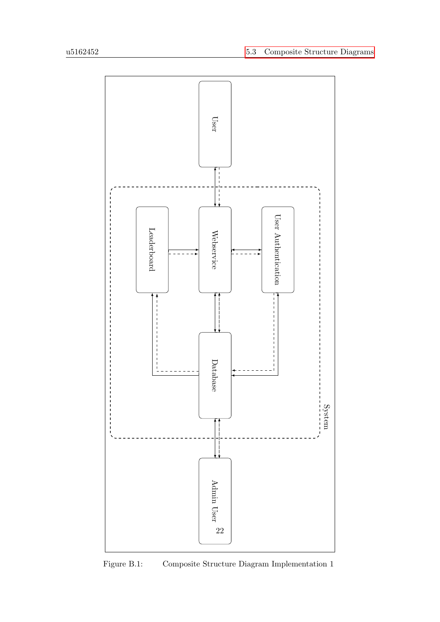<span id="page-27-0"></span>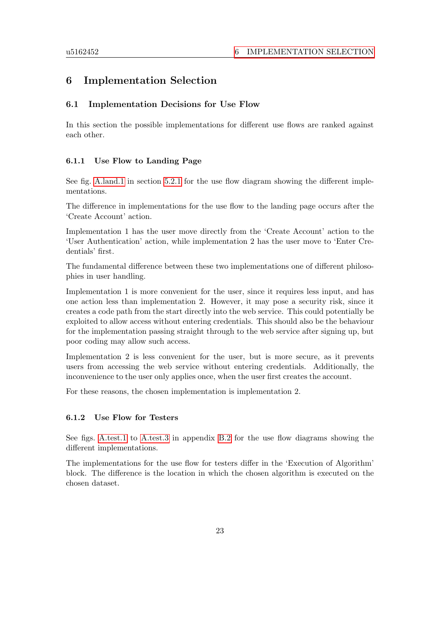## <span id="page-28-0"></span>6 Implementation Selection

#### <span id="page-28-1"></span>6.1 Implementation Decisions for Use Flow

In this section the possible implementations for different use flows are ranked against each other.

#### <span id="page-28-2"></span>6.1.1 Use Flow to Landing Page

See fig. [A.land.1](#page-19-2) in section [5.2.1](#page-19-1) for the use flow diagram showing the different implementations.

The difference in implementations for the use flow to the landing page occurs after the 'Create Account' action.

Implementation 1 has the user move directly from the 'Create Account' action to the 'User Authentication' action, while implementation 2 has the user move to 'Enter Credentials' first.

The fundamental difference between these two implementations one of different philosophies in user handling.

Implementation 1 is more convenient for the user, since it requires less input, and has one action less than implementation 2. However, it may pose a security risk, since it creates a code path from the start directly into the web service. This could potentially be exploited to allow access without entering credentials. This should also be the behaviour for the implementation passing straight through to the web service after signing up, but poor coding may allow such access.

Implementation 2 is less convenient for the user, but is more secure, as it prevents users from accessing the web service without entering credentials. Additionally, the inconvenience to the user only applies once, when the user first creates the account.

For these reasons, the chosen implementation is implementation 2.

#### <span id="page-28-3"></span>6.1.2 Use Flow for Testers

See figs. [A.test.1](#page-59-0) to [A.test.3](#page-61-0) in appendix [B.2](#page-58-0) for the use flow diagrams showing the different implementations.

The implementations for the use flow for testers differ in the 'Execution of Algorithm' block. The difference is the location in which the chosen algorithm is executed on the chosen dataset.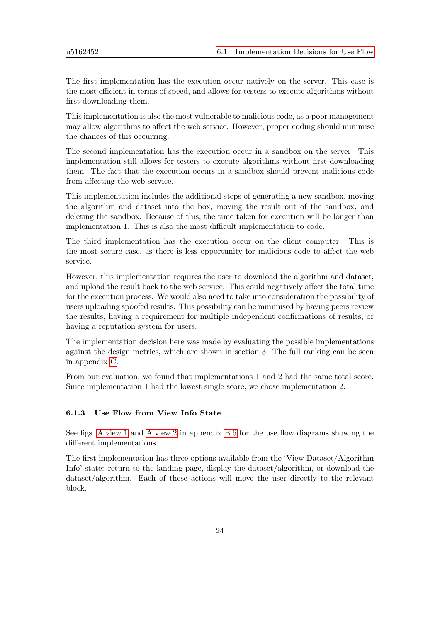The first implementation has the execution occur natively on the server. This case is the most efficient in terms of speed, and allows for testers to execute algorithms without first downloading them.

This implementation is also the most vulnerable to malicious code, as a poor management may allow algorithms to affect the web service. However, proper coding should minimise the chances of this occurring.

The second implementation has the execution occur in a sandbox on the server. This implementation still allows for testers to execute algorithms without first downloading them. The fact that the execution occurs in a sandbox should prevent malicious code from affecting the web service.

This implementation includes the additional steps of generating a new sandbox, moving the algorithm and dataset into the box, moving the result out of the sandbox, and deleting the sandbox. Because of this, the time taken for execution will be longer than implementation 1. This is also the most difficult implementation to code.

The third implementation has the execution occur on the client computer. This is the most secure case, as there is less opportunity for malicious code to affect the web service.

However, this implementation requires the user to download the algorithm and dataset, and upload the result back to the web service. This could negatively affect the total time for the execution process. We would also need to take into consideration the possibility of users uploading spoofed results. This possibility can be minimised by having peers review the results, having a requirement for multiple independent confirmations of results, or having a reputation system for users.

The implementation decision here was made by evaluating the possible implementations against the design metrics, which are shown in section 3. The full ranking can be seen in appendix [C.](#page-69-0)

From our evaluation, we found that implementations 1 and 2 had the same total score. Since implementation 1 had the lowest single score, we chose implementation 2.

#### <span id="page-29-0"></span>6.1.3 Use Flow from View Info State

See figs. [A.view.1](#page-64-1) and [A.view.2](#page-64-2) in appendix [B.6](#page-64-0) for the use flow diagrams showing the different implementations.

The first implementation has three options available from the 'View Dataset/Algorithm Info' state: return to the landing page, display the dataset/algorithm, or download the dataset/algorithm. Each of these actions will move the user directly to the relevant block.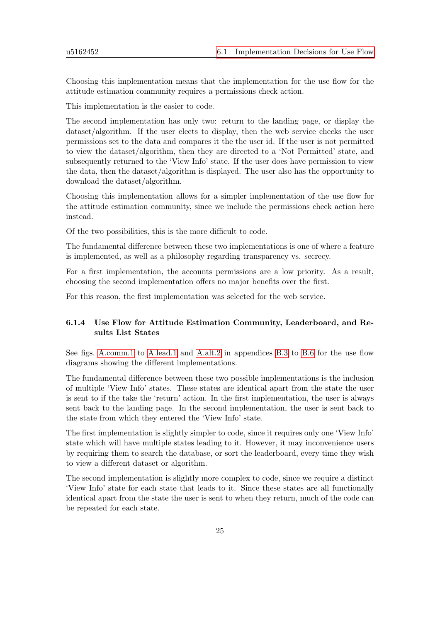Choosing this implementation means that the implementation for the use flow for the attitude estimation community requires a permissions check action.

This implementation is the easier to code.

The second implementation has only two: return to the landing page, or display the dataset/algorithm. If the user elects to display, then the web service checks the user permissions set to the data and compares it the the user id. If the user is not permitted to view the dataset/algorithm, then they are directed to a 'Not Permitted' state, and subsequently returned to the 'View Info' state. If the user does have permission to view the data, then the dataset/algorithm is displayed. The user also has the opportunity to download the dataset/algorithm.

Choosing this implementation allows for a simpler implementation of the use flow for the attitude estimation community, since we include the permissions check action here instead.

Of the two possibilities, this is the more difficult to code.

The fundamental difference between these two implementations is one of where a feature is implemented, as well as a philosophy regarding transparency vs. secrecy.

For a first implementation, the accounts permissions are a low priority. As a result, choosing the second implementation offers no major benefits over the first.

For this reason, the first implementation was selected for the web service.

#### <span id="page-30-0"></span>6.1.4 Use Flow for Attitude Estimation Community, Leaderboard, and Results List States

See figs. [A.comm.1](#page-62-1) to [A.lead.1](#page-63-3) and [A.alt.2](#page-65-0) in appendices [B.3](#page-62-0) to [B.6](#page-64-0) for the use flow diagrams showing the different implementations.

The fundamental difference between these two possible implementations is the inclusion of multiple 'View Info' states. These states are identical apart from the state the user is sent to if the take the 'return' action. In the first implementation, the user is always sent back to the landing page. In the second implementation, the user is sent back to the state from which they entered the 'View Info' state.

The first implementation is slightly simpler to code, since it requires only one 'View Info' state which will have multiple states leading to it. However, it may inconvenience users by requiring them to search the database, or sort the leaderboard, every time they wish to view a different dataset or algorithm.

The second implementation is slightly more complex to code, since we require a distinct 'View Info' state for each state that leads to it. Since these states are all functionally identical apart from the state the user is sent to when they return, much of the code can be repeated for each state.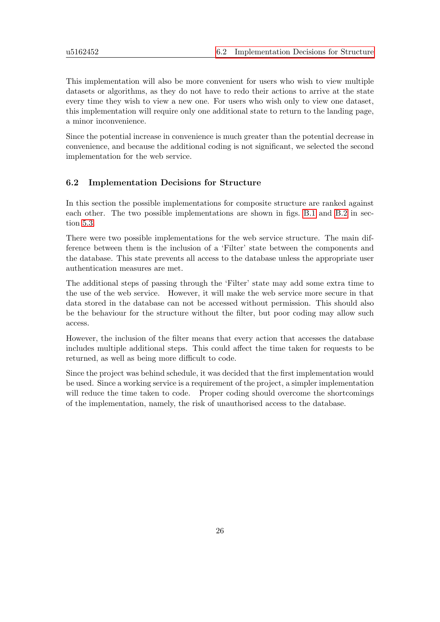This implementation will also be more convenient for users who wish to view multiple datasets or algorithms, as they do not have to redo their actions to arrive at the state every time they wish to view a new one. For users who wish only to view one dataset, this implementation will require only one additional state to return to the landing page, a minor inconvenience.

Since the potential increase in convenience is much greater than the potential decrease in convenience, and because the additional coding is not significant, we selected the second implementation for the web service.

#### <span id="page-31-0"></span>6.2 Implementation Decisions for Structure

In this section the possible implementations for composite structure are ranked against each other. The two possible implementations are shown in figs. [B.1](#page-27-0) and [B.2](#page-67-0) in section [5.3.](#page-26-0)

There were two possible implementations for the web service structure. The main difference between them is the inclusion of a 'Filter' state between the components and the database. This state prevents all access to the database unless the appropriate user authentication measures are met.

The additional steps of passing through the 'Filter' state may add some extra time to the use of the web service. However, it will make the web service more secure in that data stored in the database can not be accessed without permission. This should also be the behaviour for the structure without the filter, but poor coding may allow such access.

However, the inclusion of the filter means that every action that accesses the database includes multiple additional steps. This could affect the time taken for requests to be returned, as well as being more difficult to code.

Since the project was behind schedule, it was decided that the first implementation would be used. Since a working service is a requirement of the project, a simpler implementation will reduce the time taken to code. Proper coding should overcome the shortcomings of the implementation, namely, the risk of unauthorised access to the database.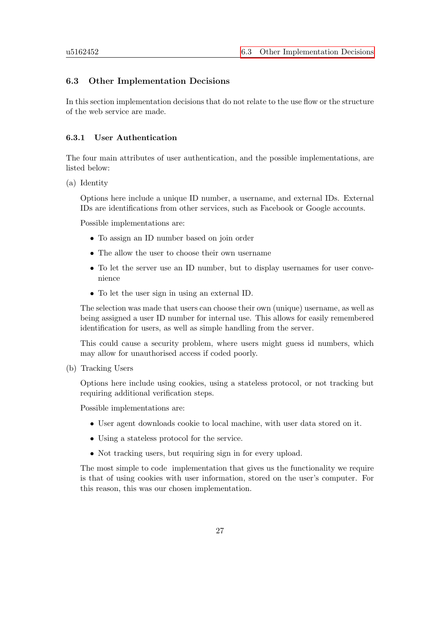### <span id="page-32-0"></span>6.3 Other Implementation Decisions

In this section implementation decisions that do not relate to the use flow or the structure of the web service are made.

#### <span id="page-32-1"></span>6.3.1 User Authentication

The four main attributes of user authentication, and the possible implementations, are listed below:

(a) Identity

Options here include a unique ID number, a username, and external IDs. External IDs are identifications from other services, such as Facebook or Google accounts.

Possible implementations are:

- To assign an ID number based on join order
- The allow the user to choose their own username
- To let the server use an ID number, but to display usernames for user convenience
- To let the user sign in using an external ID.

The selection was made that users can choose their own (unique) username, as well as being assigned a user ID number for internal use. This allows for easily remembered identification for users, as well as simple handling from the server.

This could cause a security problem, where users might guess id numbers, which may allow for unauthorised access if coded poorly.

(b) Tracking Users

Options here include using cookies, using a stateless protocol, or not tracking but requiring additional verification steps.

Possible implementations are:

- User agent downloads cookie to local machine, with user data stored on it.
- Using a stateless protocol for the service.
- Not tracking users, but requiring sign in for every upload.

The most simple to code implementation that gives us the functionality we require is that of using cookies with user information, stored on the user's computer. For this reason, this was our chosen implementation.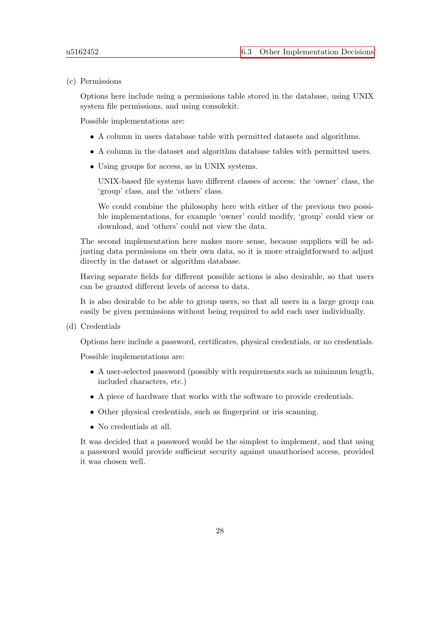(c) Permissions

Options here include using a permissions table stored in the database, using UNIX system file permissions, and using consolekit.

Possible implementations are:

- A column in users database table with permitted datasets and algorithms.
- A column in the dataset and algorithm database tables with permitted users.
- Using groups for access, as in UNIX systems.

UNIX-based file systems have different classes of access: the 'owner' class, the 'group' class, and the 'others' class.

We could combine the philosophy here with either of the previous two possible implementations, for example 'owner' could modify, 'group' could view or download, and 'others' could not view the data.

The second implementation here makes more sense, because suppliers will be adjusting data permissions on their own data, so it is more straightforward to adjust directly in the dataset or algorithm database.

Having separate fields for different possible actions is also desirable, so that users can be granted different levels of access to data.

It is also desirable to be able to group users, so that all users in a large group can easily be given permissions without being required to add each user individually.

(d) Credentials

Options here include a password, certificates, physical credentials, or no credentials.

Possible implementations are:

- A user-selected password (possibly with requirements such as minimum length, included characters, etc.)
- A piece of hardware that works with the software to provide credentials.
- Other physical credentials, such as fingerprint or iris scanning.
- No credentials at all.

It was decided that a password would be the simplest to implement, and that using a password would provide sufficient security against unauthorised access, provided it was chosen well.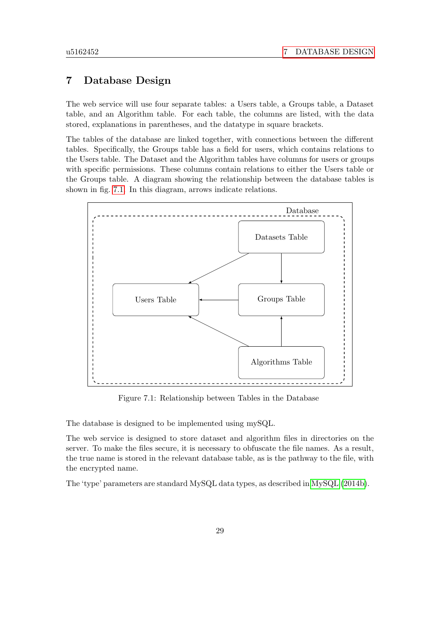## <span id="page-34-0"></span>7 Database Design

The web service will use four separate tables: a Users table, a Groups table, a Dataset table, and an Algorithm table. For each table, the columns are listed, with the data stored, explanations in parentheses, and the datatype in square brackets.

The tables of the database are linked together, with connections between the different tables. Specifically, the Groups table has a field for users, which contains relations to the Users table. The Dataset and the Algorithm tables have columns for users or groups with specific permissions. These columns contain relations to either the Users table or the Groups table. A diagram showing the relationship between the database tables is shown in fig. [7.1.](#page-34-1) In this diagram, arrows indicate relations.

<span id="page-34-1"></span>

Figure 7.1: Relationship between Tables in the Database

The database is designed to be implemented using mySQL.

The web service is designed to store dataset and algorithm files in directories on the server. To make the files secure, it is necessary to obfuscate the file names. As a result, the true name is stored in the relevant database table, as is the pathway to the file, with the encrypted name.

The 'type' parameters are standard MySQL data types, as described in [MySQL](#page-53-12) [\(2014b\)](#page-53-12).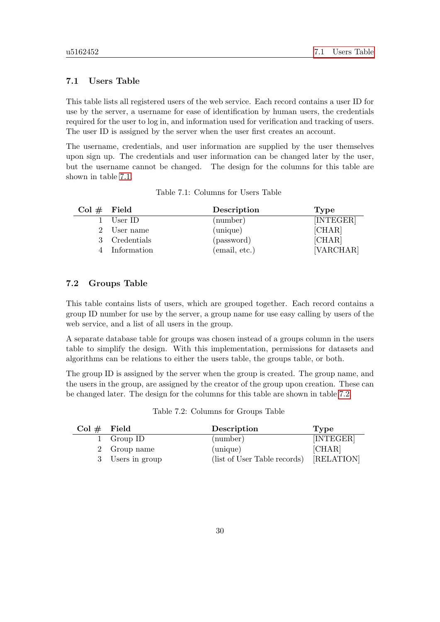#### <span id="page-35-0"></span>7.1 Users Table

This table lists all registered users of the web service. Each record contains a user ID for use by the server, a username for ease of identification by human users, the credentials required for the user to log in, and information used for verification and tracking of users. The user ID is assigned by the server when the user first creates an account.

The username, credentials, and user information are supplied by the user themselves upon sign up. The credentials and user information can be changed later by the user, but the username cannot be changed. The design for the columns for this table are shown in table [7.1.](#page-35-2)

<span id="page-35-2"></span>

| $Col \#$ Field |               | Description   | Type      |
|----------------|---------------|---------------|-----------|
|                | User ID       | (number)      | [INTEGER] |
|                | User name     | (unique)      | [CHAR]    |
|                | 3 Credentials | (password)    | [CHAR]    |
|                | Information   | (email, etc.) | [VARCHAR] |

Table 7.1: Columns for Users Table

#### <span id="page-35-1"></span>7.2 Groups Table

This table contains lists of users, which are grouped together. Each record contains a group ID number for use by the server, a group name for use easy calling by users of the web service, and a list of all users in the group.

A separate database table for groups was chosen instead of a groups column in the users table to simplify the design. With this implementation, permissions for datasets and algorithms can be relations to either the users table, the groups table, or both.

The group ID is assigned by the server when the group is created. The group name, and the users in the group, are assigned by the creator of the group upon creation. These can be changed later. The design for the columns for this table are shown in table [7.2.](#page-35-3)

<span id="page-35-3"></span>

| $Col \#$ Field |                  | Description                  | Type       |
|----------------|------------------|------------------------------|------------|
|                | 1 Group ID       | (number)                     | [INTEGER]  |
|                | 2 Group name     | (unique)                     | [CHAR]     |
|                | 3 Users in group | (list of User Table records) | [RELATION] |

Table 7.2: Columns for Groups Table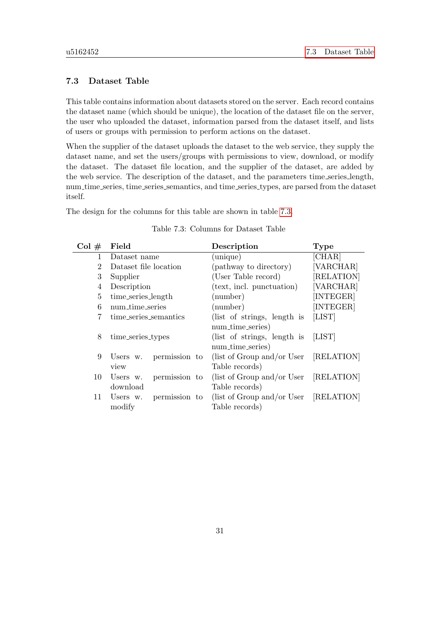### 7.3 Dataset Table

This table contains information about datasets stored on the server. Each record contains the dataset name (which should be unique), the location of the dataset file on the server, the user who uploaded the dataset, information parsed from the dataset itself, and lists of users or groups with permission to perform actions on the dataset.

When the supplier of the dataset uploads the dataset to the web service, they supply the dataset name, and set the users/groups with permissions to view, download, or modify the dataset. The dataset file location, and the supplier of the dataset, are added by the web service. The description of the dataset, and the parameters time series length, num time series, time series semantics, and time series types, are parsed from the dataset itself.

<span id="page-36-0"></span>The design for the columns for this table are shown in table [7.3.](#page-36-0)

| Col#         | Field                     | Description                           | <b>Type</b> |
|--------------|---------------------------|---------------------------------------|-------------|
| $\mathbf{1}$ | Dataset name              | (unique)                              | [CHAR]      |
| 2            | Dataset file location     | (pathway to directory)                | [VARCHAR]   |
| 3            | Supplier                  | (User Table record)                   | [RELATION]  |
| 4            | Description               | (text, incl. punctuation)             | [VARCHAR]   |
| 5            | time_series_length        | (number)                              | INTEGER]    |
| 6            | num_time_series           | (number)                              | [INTEGER]   |
| 7            | time_series_semantics     | (list of strings, length is           | [LIST]      |
|              |                           | num_time_series)                      |             |
| 8            | time_series_types         | (list of strings, length is           | [LIST]      |
|              |                           | num_time_series)                      |             |
| 9            | permission to<br>Users w. | (list of Group and/or User [RELATION] |             |
|              | view                      | Table records)                        |             |
| 10           | permission to<br>Users w. | (list of Group and/or User [RELATION] |             |
|              | download                  | Table records)                        |             |
| 11           | permission to<br>Users w. | (list of Group and/or User [RELATION] |             |
|              | modify                    | Table records)                        |             |

| Table 7.3: Columns for Dataset Table |  |
|--------------------------------------|--|
|--------------------------------------|--|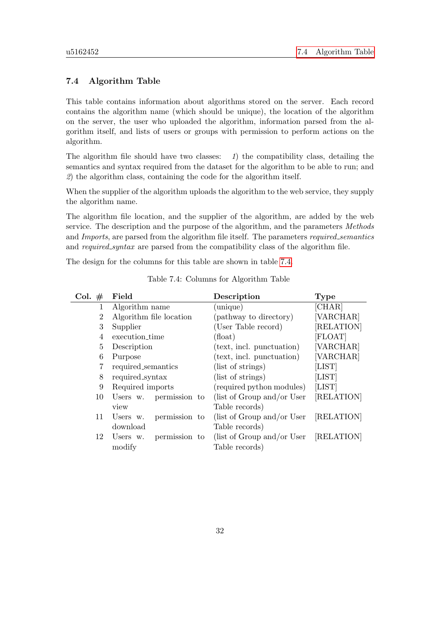### 7.4 Algorithm Table

This table contains information about algorithms stored on the server. Each record contains the algorithm name (which should be unique), the location of the algorithm on the server, the user who uploaded the algorithm, information parsed from the algorithm itself, and lists of users or groups with permission to perform actions on the algorithm.

The algorithm file should have two classes:  $1$ ) the compatibility class, detailing the semantics and syntax required from the dataset for the algorithm to be able to run; and 2) the algorithm class, containing the code for the algorithm itself.

When the supplier of the algorithm uploads the algorithm to the web service, they supply the algorithm name.

The algorithm file location, and the supplier of the algorithm, are added by the web service. The description and the purpose of the algorithm, and the parameters Methods and Imports, are parsed from the algorithm file itself. The parameters required semantics and required syntax are parsed from the compatibility class of the algorithm file.

<span id="page-37-0"></span>The design for the columns for this table are shown in table [7.4.](#page-37-0)

| Col. $#$       | Field                     | Description                 | <b>Type</b> |
|----------------|---------------------------|-----------------------------|-------------|
| 1              | Algorithm name            | (unique)                    | [CHAR]      |
| $\overline{2}$ | Algorithm file location   | (pathway to directory)      | [VARCHAR]   |
| 3              | Supplier                  | (User Table record)         | [RELATION]  |
| 4              | execution_time            | $(\text{float})$            | [FLOAT]     |
| $\overline{5}$ | Description               | (text, incl. punctuation)   | [VARCHAR]   |
| 6              | Purpose                   | (text, incl. punctuation)   | [VARCHAR]   |
| 7              | required_semantics        | (list of strings)           | [LIST]      |
| 8              | required_syntax           | (list of strings)           | [LIST]      |
| 9              | Required imports          | (required python modules)   | [LIST]      |
| 10             | Users w. permission to    | (list of Group and/or User  | [RELATION]  |
|                | view                      | Table records)              |             |
| 11             | permission to<br>Users w. | (list of Group and/or User) | [RELATION]  |
|                | download                  | Table records)              |             |
| 12             | permission to<br>Users w. | (list of Group and/or User  | [RELATION]  |
|                | modify                    | Table records)              |             |
|                |                           |                             |             |

Table 7.4: Columns for Algorithm Table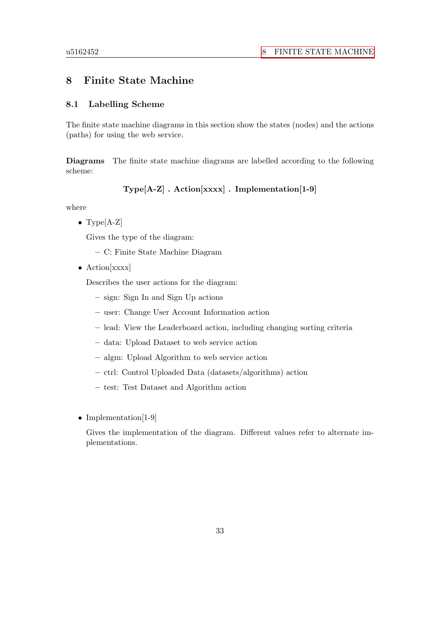## 8 Finite State Machine

### 8.1 Labelling Scheme

The finite state machine diagrams in this section show the states (nodes) and the actions (paths) for using the web service.

Diagrams The finite state machine diagrams are labelled according to the following scheme:

Type[A-Z] . Action[xxxx] . Implementation[1-9]

where

• Type[A-Z]

Gives the type of the diagram:

- C: Finite State Machine Diagram
- Action[xxxx]

Describes the user actions for the diagram:

- sign: Sign In and Sign Up actions
- user: Change User Account Information action
- lead: View the Leaderboard action, including changing sorting criteria
- data: Upload Dataset to web service action
- algm: Upload Algorithm to web service action
- ctrl: Control Uploaded Data (datasets/algorithms) action
- test: Test Dataset and Algorithm action
- Implementation[1-9]

Gives the implementation of the diagram. Different values refer to alternate implementations.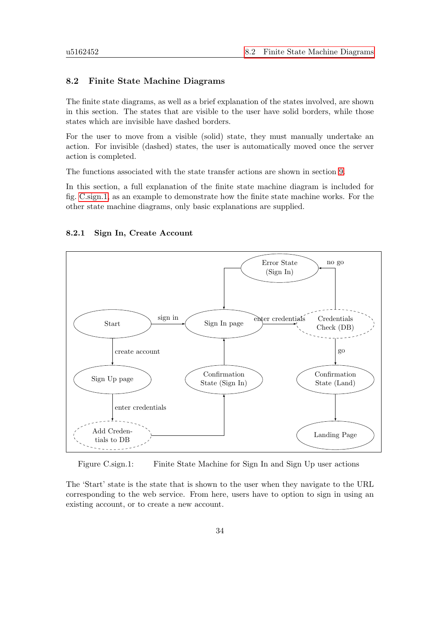#### 8.2 Finite State Machine Diagrams

The finite state diagrams, as well as a brief explanation of the states involved, are shown in this section. The states that are visible to the user have solid borders, while those states which are invisible have dashed borders.

For the user to move from a visible (solid) state, they must manually undertake an action. For invisible (dashed) states, the user is automatically moved once the server action is completed.

The functions associated with the state transfer actions are shown in section [9.](#page-46-0)

In this section, a full explanation of the finite state machine diagram is included for fig. [C.sign.1,](#page-39-0) as an example to demonstrate how the finite state machine works. For the other state machine diagrams, only basic explanations are supplied.

### 8.2.1 Sign In, Create Account

<span id="page-39-0"></span>

Figure C.sign.1: Finite State Machine for Sign In and Sign Up user actions

The 'Start' state is the state that is shown to the user when they navigate to the URL corresponding to the web service. From here, users have to option to sign in using an existing account, or to create a new account.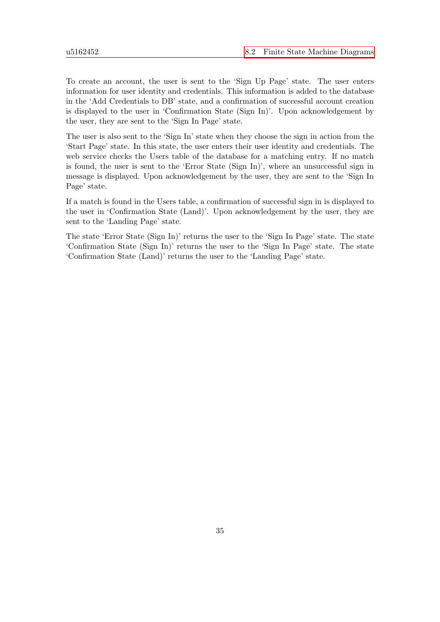To create an account, the user is sent to the 'Sign Up Page' state. The user enters information for user identity and credentials. This information is added to the database in the 'Add Credentials to DB' state, and a confirmation of successful account creation is displayed to the user in 'Confirmation State (Sign In)'. Upon acknowledgement by the user, they are sent to the 'Sign In Page' state.

The user is also sent to the 'Sign In' state when they choose the sign in action from the 'Start Page' state. In this state, the user enters their user identity and credentials. The web service checks the Users table of the database for a matching entry. If no match is found, the user is sent to the 'Error State (Sign In)', where an unsuccessful sign in message is displayed. Upon acknowledgement by the user, they are sent to the 'Sign In Page' state.

If a match is found in the Users table, a confirmation of successful sign in is displayed to the user in 'Confirmation State (Land)'. Upon acknowledgement by the user, they are sent to the 'Landing Page' state.

The state 'Error State (Sign In)' returns the user to the 'Sign In Page' state. The state 'Confirmation State (Sign In)' returns the user to the 'Sign In Page' state. The state 'Confirmation State (Land)' returns the user to the 'Landing Page' state.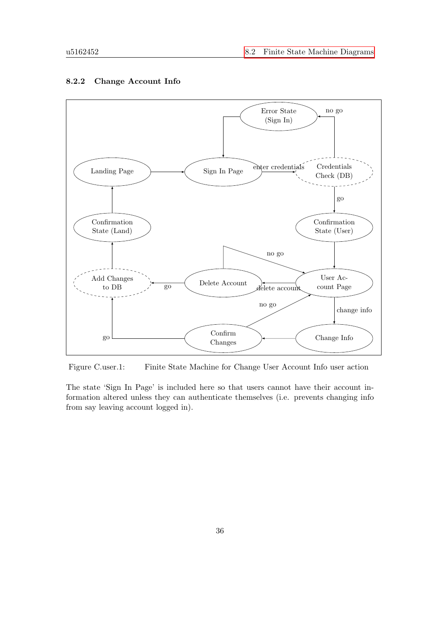

### 8.2.2 Change Account Info

Figure C.user.1: Finite State Machine for Change User Account Info user action

The state 'Sign In Page' is included here so that users cannot have their account information altered unless they can authenticate themselves (i.e. prevents changing info from say leaving account logged in).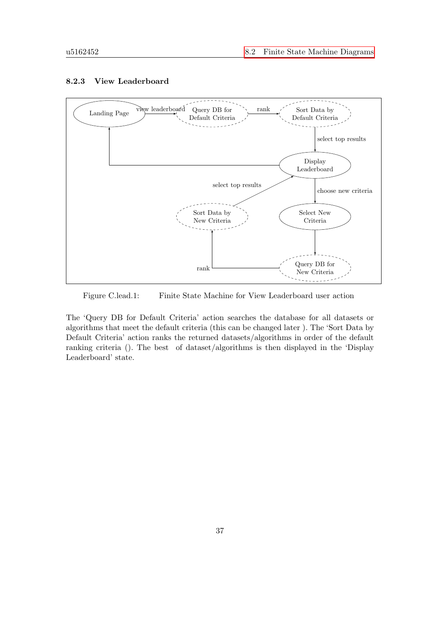

### 8.2.3 View Leaderboard

Figure C.lead.1: Finite State Machine for View Leaderboard user action

The 'Query DB for Default Criteria' action searches the database for all datasets or algorithms that meet the default criteria (this can be changed later ). The 'Sort Data by Default Criteria' action ranks the returned datasets/algorithms in order of the default ranking criteria (). The best of dataset/algorithms is then displayed in the 'Display Leaderboard' state.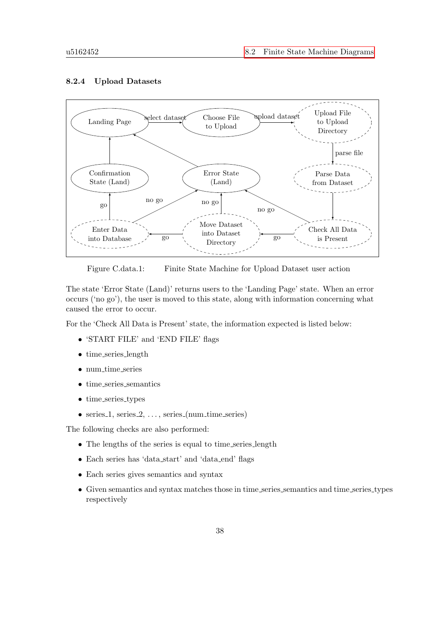#### Landing Page Select dataset Choose File to Upload Upload File to Upload Directory Parse Data from Dataset Check All Data is Present Error State (Land) Move Dataset into Dataset **Directory** Confirmation State (Land) Enter Data into Database  $\mathop{\mathrm{pload}}\nolimits$  dataset parse file no go go no go go no go go

### 8.2.4 Upload Datasets



The state 'Error State (Land)' returns users to the 'Landing Page' state. When an error occurs ('no go'), the user is moved to this state, along with information concerning what caused the error to occur.

For the 'Check All Data is Present' state, the information expected is listed below:

- 'START FILE' and 'END FILE' flags
- time\_series\_length
- num time series
- time\_series\_semantics
- time\_series\_types
- series  $1$ , series  $2, \ldots$ , series (num time series)

The following checks are also performed:

- The lengths of the series is equal to time\_series\_length
- Each series has 'data start' and 'data end' flags
- Each series gives semantics and syntax
- Given semantics and syntax matches those in time series semantics and time series types respectively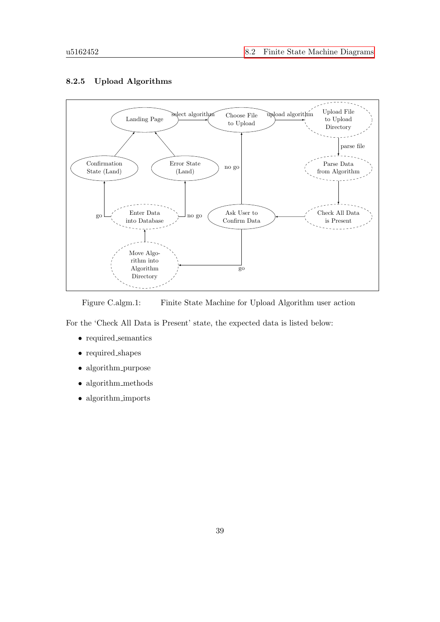

## 8.2.5 Upload Algorithms

Figure C.algm.1: Finite State Machine for Upload Algorithm user action

For the 'Check All Data is Present' state, the expected data is listed below:

- required semantics
- required shapes
- algorithm\_purpose
- algorithm\_methods
- algorithm imports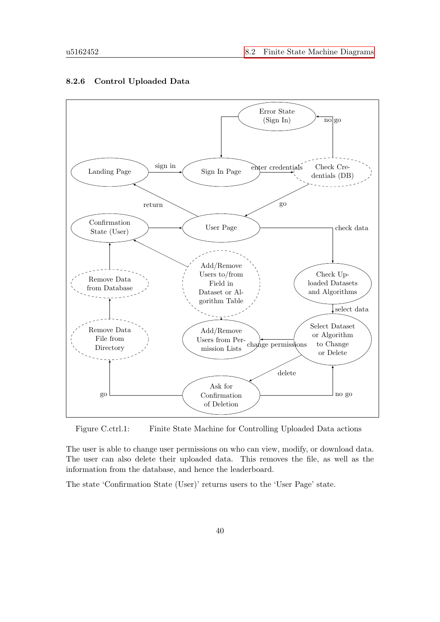

#### 8.2.6 Control Uploaded Data

Figure C.ctrl.1: Finite State Machine for Controlling Uploaded Data actions

The user is able to change user permissions on who can view, modify, or download data. The user can also delete their uploaded data. This removes the file, as well as the information from the database, and hence the leaderboard.

The state 'Confirmation State (User)' returns users to the 'User Page' state.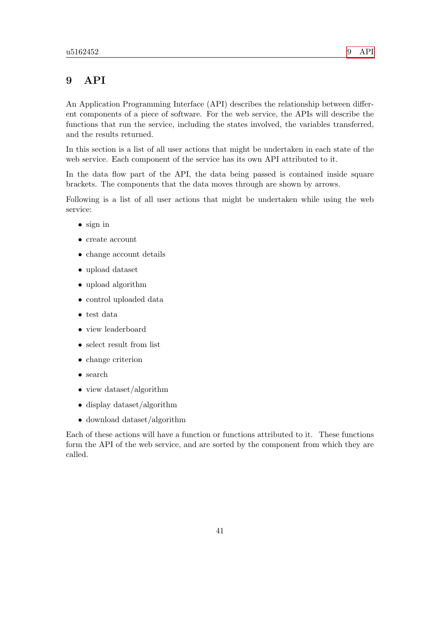## <span id="page-46-0"></span>9 API

An Application Programming Interface (API) describes the relationship between different components of a piece of software. For the web service, the APIs will describe the functions that run the service, including the states involved, the variables transferred, and the results returned.

In this section is a list of all user actions that might be undertaken in each state of the web service. Each component of the service has its own API attributed to it.

In the data flow part of the API, the data being passed is contained inside square brackets. The components that the data moves through are shown by arrows.

Following is a list of all user actions that might be undertaken while using the web service:

- sign in
- create account
- change account details
- upload dataset
- upload algorithm
- control uploaded data
- test data
- view leaderboard
- select result from list
- change criterion
- search
- view dataset/algorithm
- display dataset/algorithm
- download dataset/algorithm

Each of these actions will have a function or functions attributed to it. These functions form the API of the web service, and are sorted by the component from which they are called.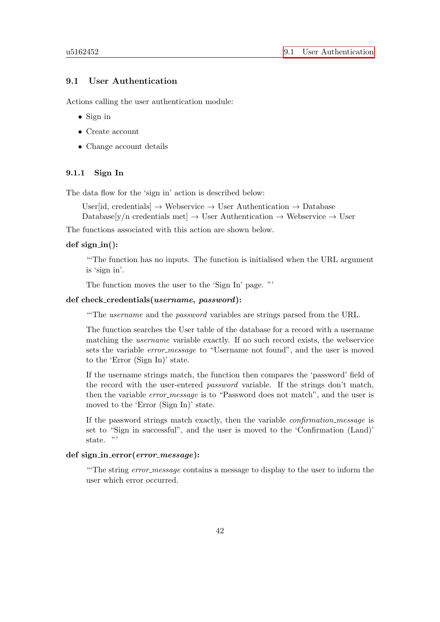### 9.1 User Authentication

Actions calling the user authentication module:

- Sign in
- Create account
- Change account details

### 9.1.1 Sign In

The data flow for the 'sign in' action is described below:

User[id, credentials]  $\rightarrow$  Webservice  $\rightarrow$  User Authentication  $\rightarrow$  Database

Database[y/n credentials met]  $\rightarrow$  User Authentication  $\rightarrow$  Webservice  $\rightarrow$  User

The functions associated with this action are shown below.

### $def sign_in():$

<span id="page-47-0"></span>"'The function has no inputs. The function is initialised when the URL argument is 'sign in'.

The function moves the user to the 'Sign In' page. "'

### def check credentials(username, password):

<span id="page-47-1"></span>"'The username and the password variables are strings parsed from the URL.

The function searches the User table of the database for a record with a username matching the username variable exactly. If no such record exists, the webservice sets the variable error message to "Username not found", and the user is moved to the 'Error (Sign In)' state.

If the username strings match, the function then compares the 'password' field of the record with the user-entered password variable. If the strings don't match, then the variable *error\_message* is to "Password does not match", and the user is moved to the 'Error (Sign In)' state.

If the password strings match exactly, then the variable confirmation message is set to "Sign in successful", and the user is moved to the 'Confirmation (Land)' state. "'

### def sign\_in\_error(error\_message):

"The string error message contains a message to display to the user to inform the user which error occurred.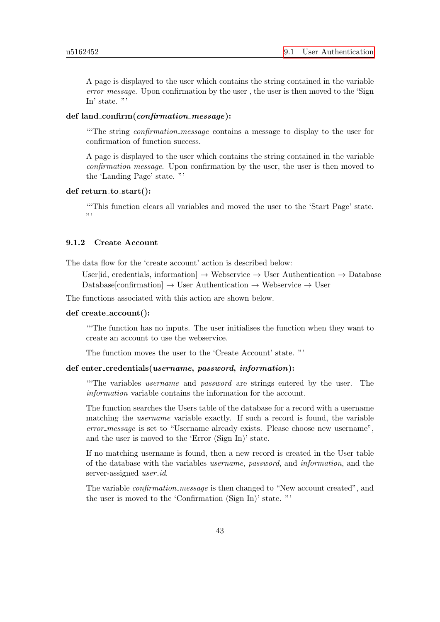A page is displayed to the user which contains the string contained in the variable error message. Upon confirmation by the user, the user is then moved to the 'Sign In' state. "'

### def land\_confirm(confirmation\_message):

"The string *confirmation\_message* contains a message to display to the user for confirmation of function success.

A page is displayed to the user which contains the string contained in the variable confirmation message. Upon confirmation by the user, the user is then moved to the 'Landing Page' state. "'

### $def return_to_start()$ :

"'This function clears all variables and moved the user to the 'Start Page' state. "

### 9.1.2 Create Account

The data flow for the 'create account' action is described below:

User[id, credentials, information]  $\rightarrow$  Webservice  $\rightarrow$  User Authentication  $\rightarrow$  Database Database[confirmation]  $\rightarrow$  User Authentication  $\rightarrow$  Webservice  $\rightarrow$  User

The functions associated with this action are shown below.

### def create account():

"'The function has no inputs. The user initialises the function when they want to create an account to use the webservice.

The function moves the user to the 'Create Account' state. "'

### def enter\_credentials(*username*, *password*, *information*):

"'The variables username and password are strings entered by the user. The information variable contains the information for the account.

The function searches the Users table of the database for a record with a username matching the username variable exactly. If such a record is found, the variable error\_message is set to "Username already exists. Please choose new username", and the user is moved to the 'Error (Sign In)' state.

If no matching username is found, then a new record is created in the User table of the database with the variables username, password, and information, and the server-assigned *user\_id.* 

The variable *confirmation\_message* is then changed to "New account created", and the user is moved to the 'Confirmation (Sign In)' state. "'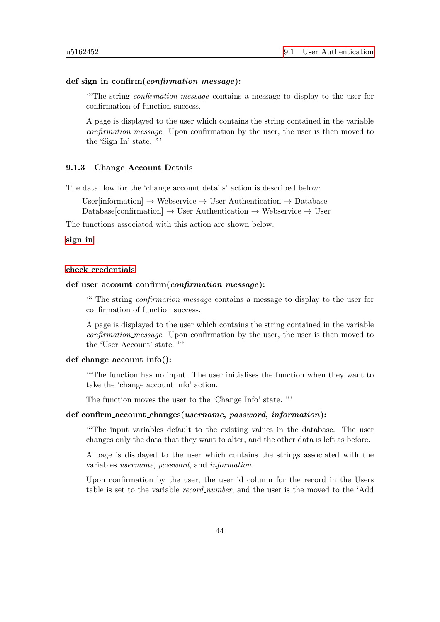### def sign\_in\_confirm(confirmation\_message):

"The string *confirmation\_message* contains a message to display to the user for confirmation of function success.

A page is displayed to the user which contains the string contained in the variable confirmation message. Upon confirmation by the user, the user is then moved to the 'Sign In' state. "'

#### 9.1.3 Change Account Details

The data flow for the 'change account details' action is described below:

User[information]  $\rightarrow$  Webservice  $\rightarrow$  User Authentication  $\rightarrow$  Database Database[confirmation]  $\rightarrow$  User Authentication  $\rightarrow$  Webservice  $\rightarrow$  User

The functions associated with this action are shown below.

### [sign](#page-47-0) in

#### check [credentials](#page-47-1)

### def user\_account\_confirm(confirmation\_message):

"" The string *confirmation\_message* contains a message to display to the user for confirmation of function success.

A page is displayed to the user which contains the string contained in the variable confirmation message. Upon confirmation by the user, the user is then moved to the 'User Account' state. "'

#### def change account info():

"'The function has no input. The user initialises the function when they want to take the 'change account info' action.

The function moves the user to the 'Change Info' state. "'

### def confirm account changes(username, password, information):

"'The input variables default to the existing values in the database. The user changes only the data that they want to alter, and the other data is left as before.

A page is displayed to the user which contains the strings associated with the variables username, password, and information.

Upon confirmation by the user, the user id column for the record in the Users table is set to the variable record number, and the user is the moved to the 'Add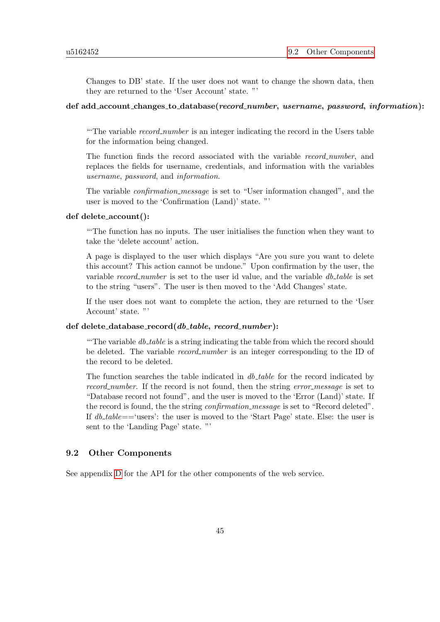Changes to DB' state. If the user does not want to change the shown data, then they are returned to the 'User Account' state. "'

### def add\_account\_changes\_to\_database(record\_number, username, password, information):

"The variable *record\_number* is an integer indicating the record in the Users table for the information being changed.

The function finds the record associated with the variable record number, and replaces the fields for username, credentials, and information with the variables username, password, and information.

The variable confirmation message is set to "User information changed", and the user is moved to the 'Confirmation (Land)' state. "'

### def delete account():

"'The function has no inputs. The user initialises the function when they want to take the 'delete account' action.

A page is displayed to the user which displays "Are you sure you want to delete this account? This action cannot be undone." Upon confirmation by the user, the variable record number is set to the user id value, and the variable  $db\_table$  is set to the string "users". The user is then moved to the 'Add Changes' state.

If the user does not want to complete the action, they are returned to the 'User Account' state. "'

### def delete\_database\_record $(db_table, record_number)$ :

"The variable  $db\_table$  is a string indicating the table from which the record should be deleted. The variable *record number* is an integer corresponding to the ID of the record to be deleted.

The function searches the table indicated in  $db$ -table for the record indicated by record number. If the record is not found, then the string error message is set to "Database record not found", and the user is moved to the 'Error (Land)' state. If the record is found, the the string *confirmation\_message* is set to "Record deleted". If  $db\_table = \text{``users':}$  the user is moved to the 'Start Page' state. Else: the user is sent to the 'Landing Page' state. "'

### 9.2 Other Components

See appendix [D](#page-70-0) for the API for the other components of the web service.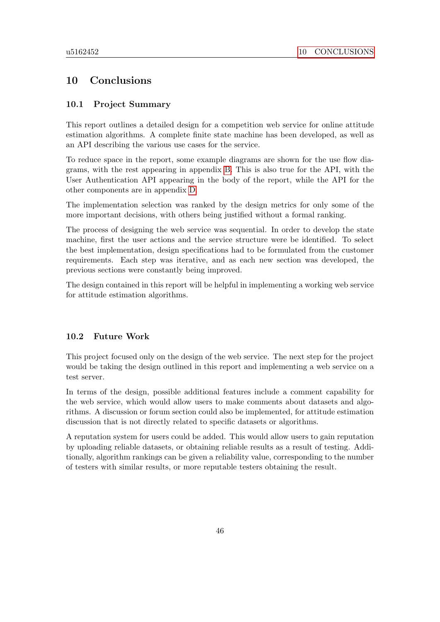## 10 Conclusions

### 10.1 Project Summary

This report outlines a detailed design for a competition web service for online attitude estimation algorithms. A complete finite state machine has been developed, as well as an API describing the various use cases for the service.

To reduce space in the report, some example diagrams are shown for the use flow diagrams, with the rest appearing in appendix [B.](#page-57-0) This is also true for the API, with the User Authentication API appearing in the body of the report, while the API for the other components are in appendix [D.](#page-70-0)

The implementation selection was ranked by the design metrics for only some of the more important decisions, with others being justified without a formal ranking.

The process of designing the web service was sequential. In order to develop the state machine, first the user actions and the service structure were be identified. To select the best implementation, design specifications had to be formulated from the customer requirements. Each step was iterative, and as each new section was developed, the previous sections were constantly being improved.

The design contained in this report will be helpful in implementing a working web service for attitude estimation algorithms.

### 10.2 Future Work

This project focused only on the design of the web service. The next step for the project would be taking the design outlined in this report and implementing a web service on a test server.

In terms of the design, possible additional features include a comment capability for the web service, which would allow users to make comments about datasets and algorithms. A discussion or forum section could also be implemented, for attitude estimation discussion that is not directly related to specific datasets or algorithms.

A reputation system for users could be added. This would allow users to gain reputation by uploading reliable datasets, or obtaining reliable results as a result of testing. Additionally, algorithm rankings can be given a reliability value, corresponding to the number of testers with similar results, or more reputable testers obtaining the result.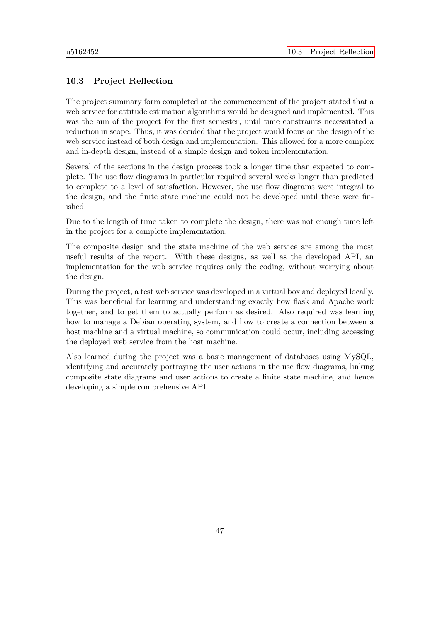### 10.3 Project Reflection

The project summary form completed at the commencement of the project stated that a web service for attitude estimation algorithms would be designed and implemented. This was the aim of the project for the first semester, until time constraints necessitated a reduction in scope. Thus, it was decided that the project would focus on the design of the web service instead of both design and implementation. This allowed for a more complex and in-depth design, instead of a simple design and token implementation.

Several of the sections in the design process took a longer time than expected to complete. The use flow diagrams in particular required several weeks longer than predicted to complete to a level of satisfaction. However, the use flow diagrams were integral to the design, and the finite state machine could not be developed until these were finished.

Due to the length of time taken to complete the design, there was not enough time left in the project for a complete implementation.

The composite design and the state machine of the web service are among the most useful results of the report. With these designs, as well as the developed API, an implementation for the web service requires only the coding, without worrying about the design.

During the project, a test web service was developed in a virtual box and deployed locally. This was beneficial for learning and understanding exactly how flask and Apache work together, and to get them to actually perform as desired. Also required was learning how to manage a Debian operating system, and how to create a connection between a host machine and a virtual machine, so communication could occur, including accessing the deployed web service from the host machine.

Also learned during the project was a basic management of databases using MySQL, identifying and accurately portraying the user actions in the use flow diagrams, linking composite state diagrams and user actions to create a finite state machine, and hence developing a simple comprehensive API.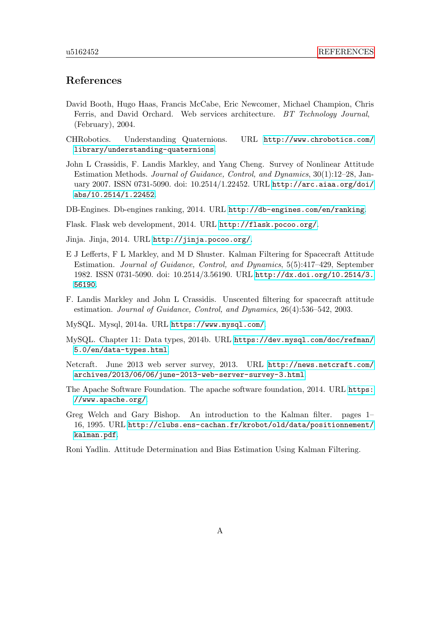## References

- David Booth, Hugo Haas, Francis McCabe, Eric Newcomer, Michael Champion, Chris Ferris, and David Orchard. Web services architecture. BT Technology Journal, (February), 2004.
- CHRobotics. Understanding Quaternions. URL [http://www.chrobotics.com/](http://www.chrobotics.com/library/understanding-quaternions) [library/understanding-quaternions](http://www.chrobotics.com/library/understanding-quaternions).
- John L Crassidis, F. Landis Markley, and Yang Cheng. Survey of Nonlinear Attitude Estimation Methods. Journal of Guidance, Control, and Dynamics, 30(1):12–28, January 2007. ISSN 0731-5090. doi: 10.2514/1.22452. URL [http://arc.aiaa.org/doi/](http://arc.aiaa.org/doi/abs/10.2514/1.22452) [abs/10.2514/1.22452](http://arc.aiaa.org/doi/abs/10.2514/1.22452).
- DB-Engines. Db-engines ranking, 2014. URL <http://db-engines.com/en/ranking>.

Flask. Flask web development, 2014. URL <http://flask.pocoo.org/>.

Jinja. Jinja, 2014. URL <http://jinja.pocoo.org/>.

- E J Lefferts, F L Markley, and M D Shuster. Kalman Filtering for Spacecraft Attitude Estimation. Journal of Guidance, Control, and Dynamics, 5(5):417–429, September 1982. ISSN 0731-5090. doi: 10.2514/3.56190. URL [http://dx.doi.org/10.2514/3.](http://dx.doi.org/10.2514/3.56190) [56190](http://dx.doi.org/10.2514/3.56190).
- F. Landis Markley and John L Crassidis. Unscented filtering for spacecraft attitude estimation. Journal of Guidance, Control, and Dynamics, 26(4):536–542, 2003.

MySQL. Mysql, 2014a. URL <https://www.mysql.com/>.

- MySQL. Chapter 11: Data types, 2014b. URL [https://dev.mysql.com/doc/refman/](https://dev.mysql.com/doc/refman/5.0/en/data-types.html) [5.0/en/data-types.html](https://dev.mysql.com/doc/refman/5.0/en/data-types.html).
- Netcraft. June 2013 web server survey, 2013. URL [http://news.netcraft.com/](http://news.netcraft.com/archives/2013/06/06/june-2013-web-server-survey-3.html) [archives/2013/06/06/june-2013-web-server-survey-3.html](http://news.netcraft.com/archives/2013/06/06/june-2013-web-server-survey-3.html).
- The Apache Software Foundation. The apache software foundation, 2014. URL [https:](https://www.apache.org/) [//www.apache.org/](https://www.apache.org/).
- Greg Welch and Gary Bishop. An introduction to the Kalman filter. pages 1– 16, 1995. URL [http://clubs.ens-cachan.fr/krobot/old/data/positionnement/](http://clubs.ens-cachan.fr/krobot/old/data/positionnement/kalman.pdf) [kalman.pdf](http://clubs.ens-cachan.fr/krobot/old/data/positionnement/kalman.pdf).
- Roni Yadlin. Attitude Determination and Bias Estimation Using Kalman Filtering.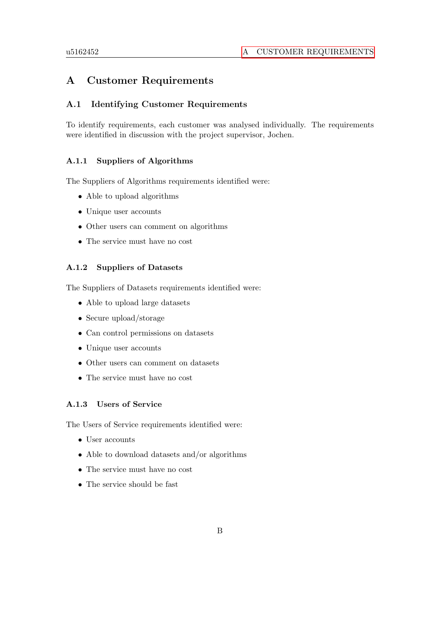## A Customer Requirements

## A.1 Identifying Customer Requirements

To identify requirements, each customer was analysed individually. The requirements were identified in discussion with the project supervisor, Jochen.

### A.1.1 Suppliers of Algorithms

The Suppliers of Algorithms requirements identified were:

- Able to upload algorithms
- Unique user accounts
- Other users can comment on algorithms
- The service must have no cost

### A.1.2 Suppliers of Datasets

The Suppliers of Datasets requirements identified were:

- Able to upload large datasets
- Secure upload/storage
- Can control permissions on datasets
- Unique user accounts
- Other users can comment on datasets
- The service must have no cost

### A.1.3 Users of Service

The Users of Service requirements identified were:

- User accounts
- Able to download datasets and/or algorithms
- The service must have no cost
- The service should be fast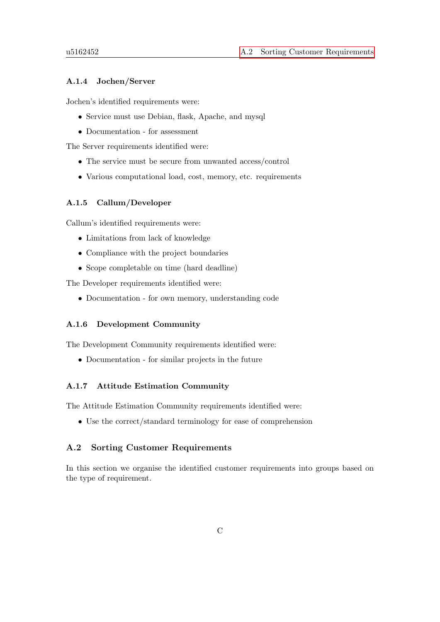### A.1.4 Jochen/Server

Jochen's identified requirements were:

- Service must use Debian, flask, Apache, and mysql
- Documentation for assessment

The Server requirements identified were:

- The service must be secure from unwanted access/control
- Various computational load, cost, memory, etc. requirements

### A.1.5 Callum/Developer

Callum's identified requirements were:

- Limitations from lack of knowledge
- Compliance with the project boundaries
- Scope completable on time (hard deadline)

The Developer requirements identified were:

• Documentation - for own memory, understanding code

### A.1.6 Development Community

The Development Community requirements identified were:

• Documentation - for similar projects in the future

### A.1.7 Attitude Estimation Community

The Attitude Estimation Community requirements identified were:

• Use the correct/standard terminology for ease of comprehension

### A.2 Sorting Customer Requirements

In this section we organise the identified customer requirements into groups based on the type of requirement.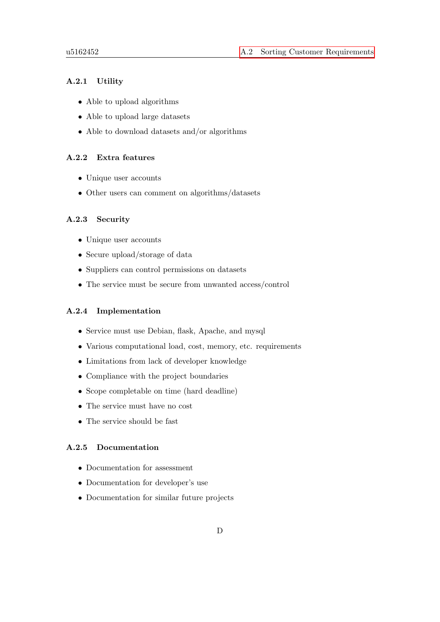### A.2.1 Utility

- Able to upload algorithms
- Able to upload large datasets
- Able to download datasets and/or algorithms

### A.2.2 Extra features

- Unique user accounts
- Other users can comment on algorithms/datasets

### A.2.3 Security

- Unique user accounts
- Secure upload/storage of data
- Suppliers can control permissions on datasets
- The service must be secure from unwanted access/control

### A.2.4 Implementation

- Service must use Debian, flask, Apache, and mysql
- Various computational load, cost, memory, etc. requirements
- Limitations from lack of developer knowledge
- Compliance with the project boundaries
- Scope completable on time (hard deadline)
- The service must have no cost
- The service should be fast

### A.2.5 Documentation

- Documentation for assessment
- Documentation for developer's use
- Documentation for similar future projects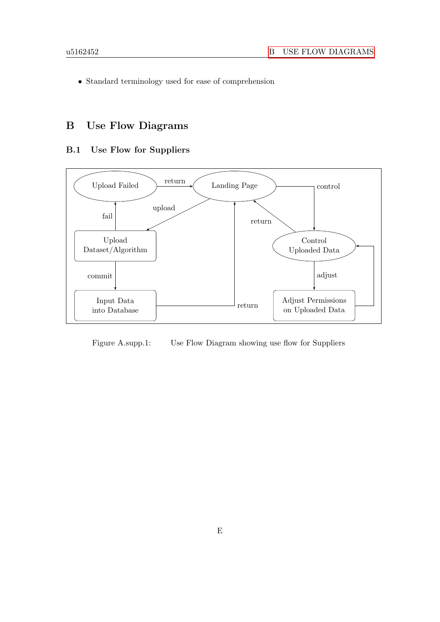• Standard terminology used for ease of comprehension

# <span id="page-57-0"></span>B Use Flow Diagrams

## B.1 Use Flow for Suppliers



Figure A.supp.1: Use Flow Diagram showing use flow for Suppliers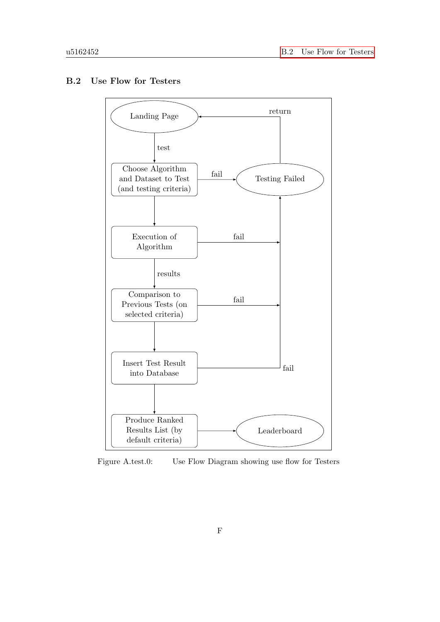## B.2 Use Flow for Testers



Figure A.test.0: Use Flow Diagram showing use flow for Testers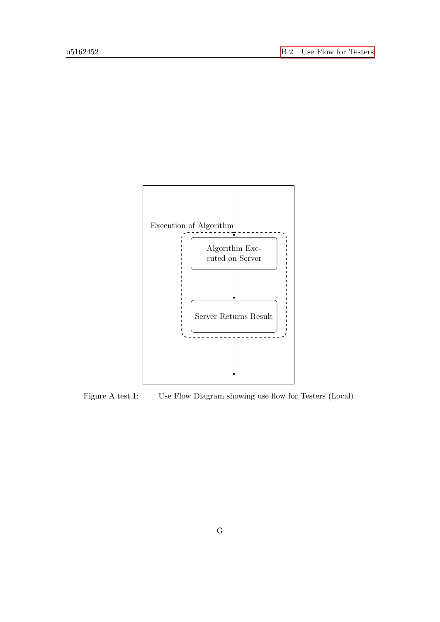

Figure A.test.1: Use Flow Diagram showing use flow for Testers (Local)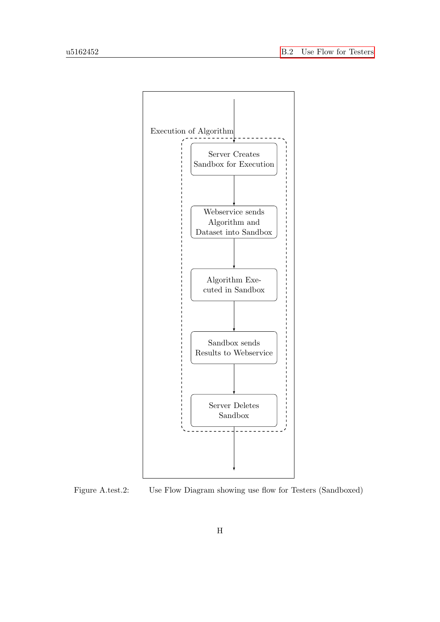

Figure A.test.2: Use Flow Diagram showing use flow for Testers (Sandboxed)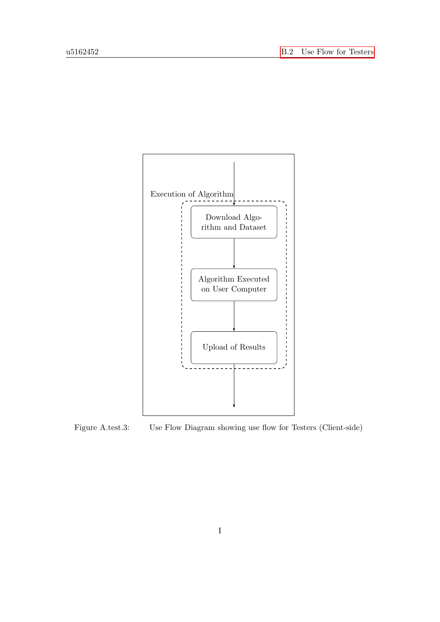

Figure A.test.3: Use Flow Diagram showing use flow for Testers (Client-side)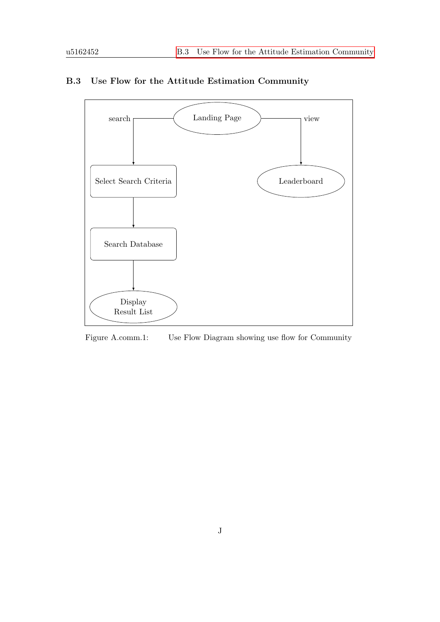

## B.3 Use Flow for the Attitude Estimation Community

Figure A.comm.1: Use Flow Diagram showing use flow for Community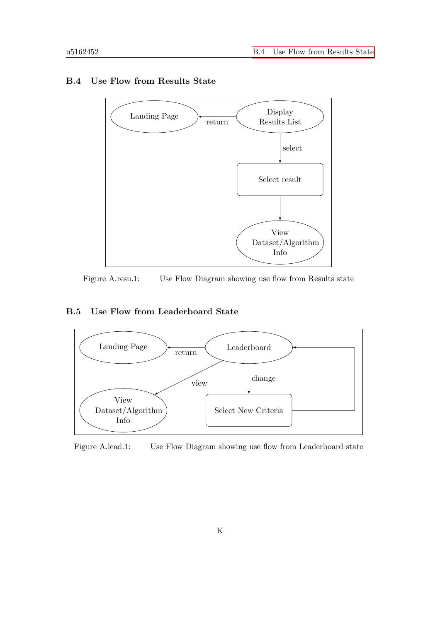

## B.4 Use Flow from Results State

Figure A.resu.1: Use Flow Diagram showing use flow from Results state

## B.5 Use Flow from Leaderboard State



Figure A.lead.1: Use Flow Diagram showing use flow from Leaderboard state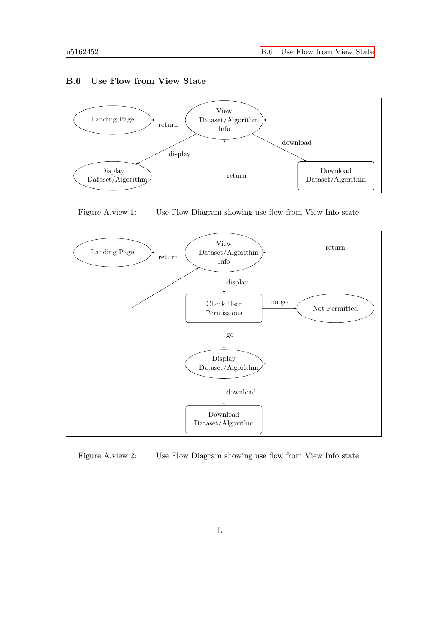### B.6 Use Flow from View State



Figure A.view.1: Use Flow Diagram showing use flow from View Info state



Figure A.view.2: Use Flow Diagram showing use flow from View Info state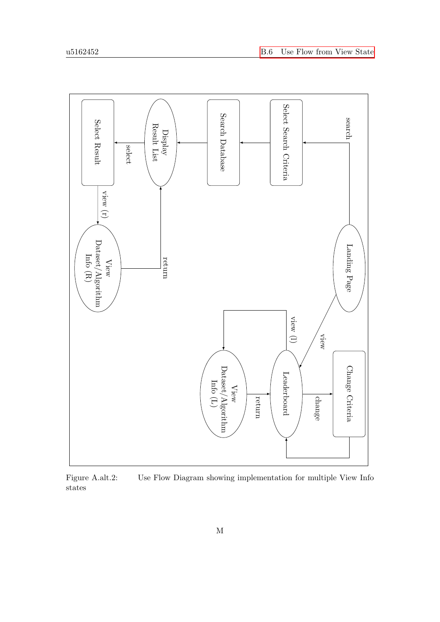

Figure A.alt.2: Use Flow Diagram showing implementation for multiple View Info states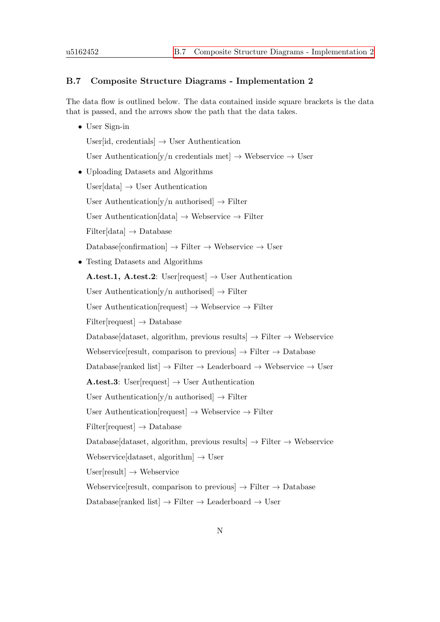### B.7 Composite Structure Diagrams - Implementation 2

The data flow is outlined below. The data contained inside square brackets is the data that is passed, and the arrows show the path that the data takes.

• User Sign-in

User[id, credentials]  $\rightarrow$  User Authentication

User Authentication[y/n credentials met]  $\rightarrow$  Webservice  $\rightarrow$  User

• Uploading Datasets and Algorithms

User $[data] \rightarrow$  User Authentication

User Authentication[y/n authorised]  $\rightarrow$  Filter

User Authentication[data]  $\rightarrow$  Webservice  $\rightarrow$  Filter

 $Filter[data] \rightarrow Database$ 

 $\text{Database}[\text{conformation}] \rightarrow \text{Filter} \rightarrow \text{We}$ bservice  $\rightarrow \text{User}$ 

• Testing Datasets and Algorithms

A.test.1, A.test.2: User[request]  $\rightarrow$  User Authentication

User Authentication[y/n authorised]  $\rightarrow$  Filter

User Authentication[request]  $\rightarrow$  Webservice  $\rightarrow$  Filter

 $Filter[request] \rightarrow Database$ 

Database[dataset, algorithm, previous results]  $\rightarrow$  Filter  $\rightarrow$  Webservice

Webservice result, comparison to previous  $\rightarrow$  Filter  $\rightarrow$  Database

Database[ranked list]  $\rightarrow$  Filter  $\rightarrow$  Leaderboard  $\rightarrow$  Webservice  $\rightarrow$  User

A.test.3: User[request]  $\rightarrow$  User Authentication

User Authentication[y/n authorised]  $\rightarrow$  Filter

User Authentication[request]  $\rightarrow$  Webservice  $\rightarrow$  Filter

 $Filter[request] \rightarrow Database$ 

Database[dataset, algorithm, previous results]  $\rightarrow$  Filter  $\rightarrow$  Webservice

Webservice[dataset, algorithm]  $\rightarrow$  User

 $User[result] \rightarrow Webservice$ 

Webservice[result, comparison to previous]  $\rightarrow$  Filter  $\rightarrow$  Database

Database[ranked list]  $\rightarrow$  Filter  $\rightarrow$  Leaderboard  $\rightarrow$  User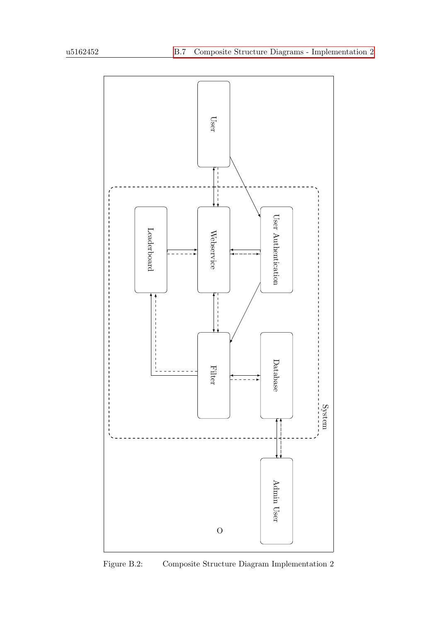

Figure B.2: Composite Structure Diagram Implementation 2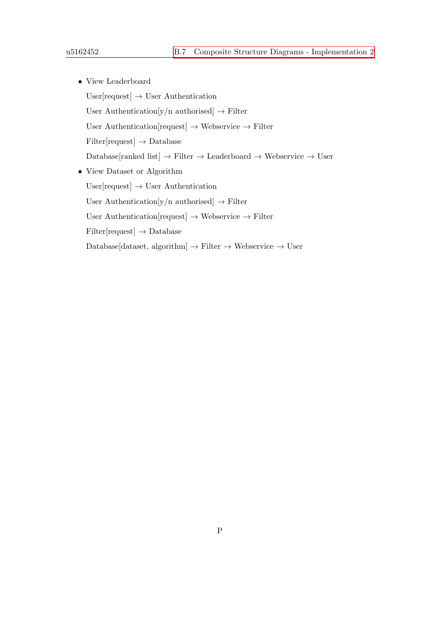• View Leaderboard User[request]  $\rightarrow$  User Authentication User Authentication[y/n authorised]  $\rightarrow$  Filter User Authentication[request]  $\rightarrow$  Webservice  $\rightarrow$  Filter  $Filter[request] \rightarrow Database$  $\text{Database}[\text{ranked list}] \rightarrow \text{Filter} \rightarrow \text{Leaderboard} \rightarrow \text{Webservice} \rightarrow \text{User}$ • View Dataset or Algorithm User<br>[request]  $\rightarrow$  User Authentication User Authentication[y/n authorised]  $\rightarrow$  Filter User Authentication[request]  $\rightarrow$  Webservice  $\rightarrow$  Filter  $Filter[request] \rightarrow Database$ 

Database[dataset, algorithm]  $\rightarrow$  Filter  $\rightarrow$  Webservice  $\rightarrow$  User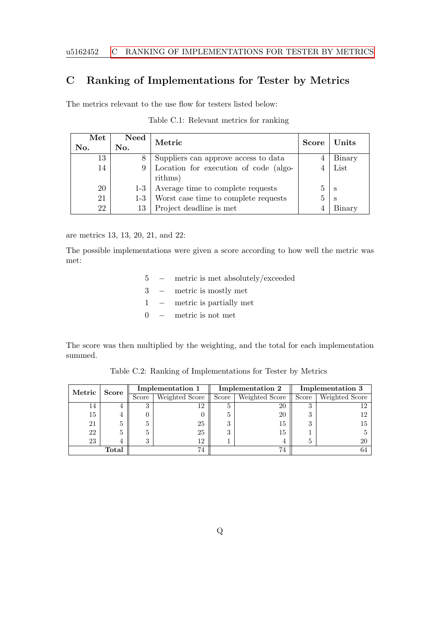## C Ranking of Implementations for Tester by Metrics

The metrics relevant to the use flow for testers listed below:

| $\operatorname{\mathbf{Met}}$ | <b>Need</b> | Metric                                | <b>Score</b> | Units  |
|-------------------------------|-------------|---------------------------------------|--------------|--------|
| No.                           | No.         |                                       |              |        |
| 13                            | 8           | Suppliers can approve access to data  |              | Binary |
| 14                            | 9           | Location for execution of code (algo- |              | List   |
|                               |             | rithms)                               |              |        |
| 20                            | $1-3$       | Average time to complete requests     |              | S      |
| 21                            | $1-3$       | Worst case time to complete requests  |              | S      |
| 22                            | 13          | Project deadline is met               |              | Binary |

Table C.1: Relevant metrics for ranking

are metrics 13, 13, 20, 21, and 22:

The possible implementations were given a score according to how well the metric was met:

- 5 − metric is met absolutely/exceeded 3 − metric is mostly met
- 1 − metric is partially met
- 0 − metric is not met

The score was then multiplied by the weighting, and the total for each implementation summed.

| Metric | <b>Score</b> | <b>Implementation 1</b> |                | Implementation 2 |                | <b>Implementation 3</b> |                |
|--------|--------------|-------------------------|----------------|------------------|----------------|-------------------------|----------------|
|        |              | Score                   | Weighted Score | Score            | Weighted Score | Score                   | Weighted Score |
| 14     |              | $\Omega$                | 12             |                  | 20             |                         |                |
| 15     |              |                         |                |                  | 20             | .,                      |                |
| 21     |              |                         | 25             | っ                | 15             | 9<br>. )                | Тp             |
| 22     |              |                         | 25             | 3                | 15             |                         |                |
| 23     |              | 2                       | 12             |                  |                | Ð                       |                |
| Total  |              |                         | 74             |                  | 74             |                         |                |

Table C.2: Ranking of Implementations for Tester by Metrics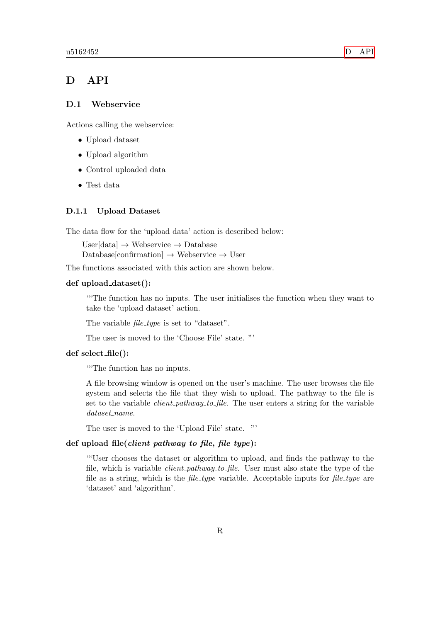## <span id="page-70-0"></span>D API

### D.1 Webservice

Actions calling the webservice:

- Upload dataset
- Upload algorithm
- Control uploaded data
- Test data

#### D.1.1 Upload Dataset

The data flow for the 'upload data' action is described below:

User $[data] \rightarrow$  Webservice  $\rightarrow$  Database Database[confirmation]  $\rightarrow$  Webservice  $\rightarrow$  User

The functions associated with this action are shown below.

### def upload dataset():

"'The function has no inputs. The user initialises the function when they want to take the 'upload dataset' action.

The variable *file\_type* is set to "dataset".

The user is moved to the 'Choose File' state. "'

### def select file():

"'The function has no inputs.

A file browsing window is opened on the user's machine. The user browses the file system and selects the file that they wish to upload. The pathway to the file is set to the variable *client pathway to file*. The user enters a string for the variable dataset\_name.

The user is moved to the 'Upload File' state. "'

### def upload  $file(client\_pathway_to_file, file_type)$ :

"'User chooses the dataset or algorithm to upload, and finds the pathway to the file, which is variable *client\_pathway\_to\_file*. User must also state the type of the file as a string, which is the *file-type* variable. Acceptable inputs for *file-type* are 'dataset' and 'algorithm'.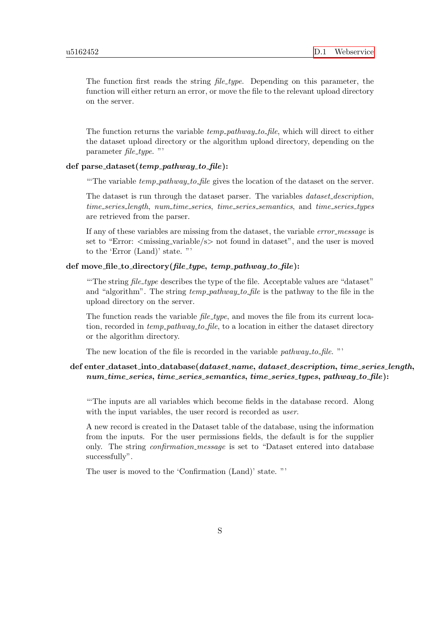The function first reads the string *file\_type*. Depending on this parameter, the function will either return an error, or move the file to the relevant upload directory on the server.

The function returns the variable  $temp\_pathway\_to\_file$ , which will direct to either the dataset upload directory or the algorithm upload directory, depending on the parameter  $file\_type$ ."

### def parse\_dataset( $temp\_pathway\_to\_file$ ):

"The variable  $temp\_pathway\_to\_file$  gives the location of the dataset on the server.

The dataset is run through the dataset parser. The variables *dataset\_description*, time series length, num time series, time series semantics, and time series types are retrieved from the parser.

If any of these variables are missing from the dataset, the variable error message is set to "Error:  $\langle$  missing\_variable/s $>$  not found in dataset", and the user is moved to the 'Error (Land)' state. "'

### def move\_file\_to\_directory(file\_type, temp\_pathway\_to\_file):

"The string *file\_type* describes the type of the file. Acceptable values are "dataset" and "algorithm". The string  $temp\_pathway\_to\_file$  is the pathway to the file in the upload directory on the server.

The function reads the variable  $file\_type$ , and moves the file from its current location, recorded in  $temp\_pathway\_to$  file, to a location in either the dataset directory or the algorithm directory.

The new location of the file is recorded in the variable *pathway\_to\_file.* "'

## $def$  enter\_dataset\_into\_database( $data set$ \_name,  $data set$ \_description, time\_series\_length, num\_time\_series, time\_series\_semantics, time\_series\_types, pathway\_to\_file):

"'The inputs are all variables which become fields in the database record. Along with the input variables, the user record is recorded as user.

A new record is created in the Dataset table of the database, using the information from the inputs. For the user permissions fields, the default is for the supplier only. The string *confirmation\_message* is set to "Dataset entered into database successfully".

The user is moved to the 'Confirmation (Land)' state. "'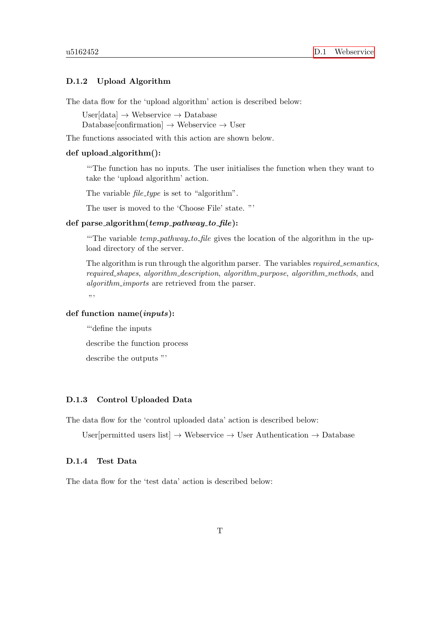# D.1.2 Upload Algorithm

The data flow for the 'upload algorithm' action is described below:

User $[data] \rightarrow$  Webservice  $\rightarrow$  Database  $\text{Database}[\text{confirmation}] \rightarrow \text{We}$ bservice  $\rightarrow \text{User}$ 

The functions associated with this action are shown below.

### def upload algorithm():

"'The function has no inputs. The user initialises the function when they want to take the 'upload algorithm' action.

The variable *file\_type* is set to "algorithm".

The user is moved to the 'Choose File' state. "'

## def parse\_algorithm( $temp\_pathway\_to\_file$ ):

"The variable  $temp\_pathway\_to\_file$  gives the location of the algorithm in the upload directory of the server.

The algorithm is run through the algorithm parser. The variables *required\_semantics*, required shapes, algorithm description, algorithm purpose, algorithm methods, and algorithm\_imports are retrieved from the parser.

"

# def function name(inputs):

"'define the inputs describe the function process

describe the outputs "'

## D.1.3 Control Uploaded Data

The data flow for the 'control uploaded data' action is described below:

User[permitted users list]  $\rightarrow$  Webservice  $\rightarrow$  User Authentication  $\rightarrow$  Database

#### D.1.4 Test Data

The data flow for the 'test data' action is described below: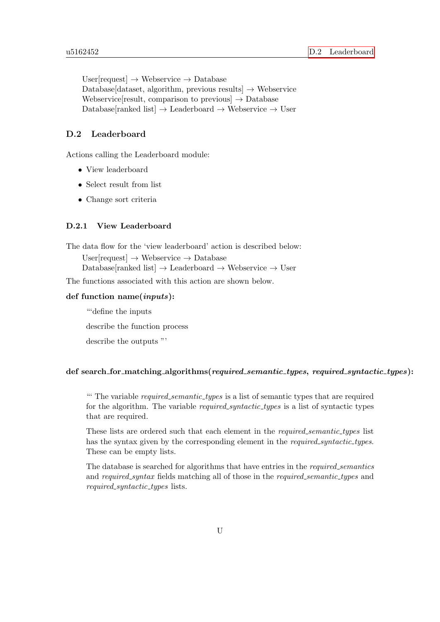User $[request] \rightarrow Webservice \rightarrow Database$ Database[dataset, algorithm, previous results]  $\rightarrow$  Webservice Webservice result, comparison to previous  $\rightarrow$  Database Database[ranked list]  $\rightarrow$  Leaderboard  $\rightarrow$  Webservice  $\rightarrow$  User

# D.2 Leaderboard

Actions calling the Leaderboard module:

- View leaderboard
- Select result from list
- Change sort criteria

## D.2.1 View Leaderboard

The data flow for the 'view leaderboard' action is described below:

User[request]  $\rightarrow$  Webservice  $\rightarrow$  Database Database[ranked list]  $\rightarrow$  Leaderboard  $\rightarrow$  Webservice  $\rightarrow$  User

The functions associated with this action are shown below.

### def function name(inputs):

"'define the inputs describe the function process describe the outputs "'

## def search for matching algorithms (required semantic types, required syntactic types):

"" The variable *required\_semantic\_types* is a list of semantic types that are required for the algorithm. The variable *required\_syntactic\_types* is a list of syntactic types that are required.

These lists are ordered such that each element in the *required\_semantic\_types* list has the syntax given by the corresponding element in the *required\_syntactic\_types*. These can be empty lists.

The database is searched for algorithms that have entries in the required semantics and required syntax fields matching all of those in the required semantic types and required\_syntactic\_types lists.